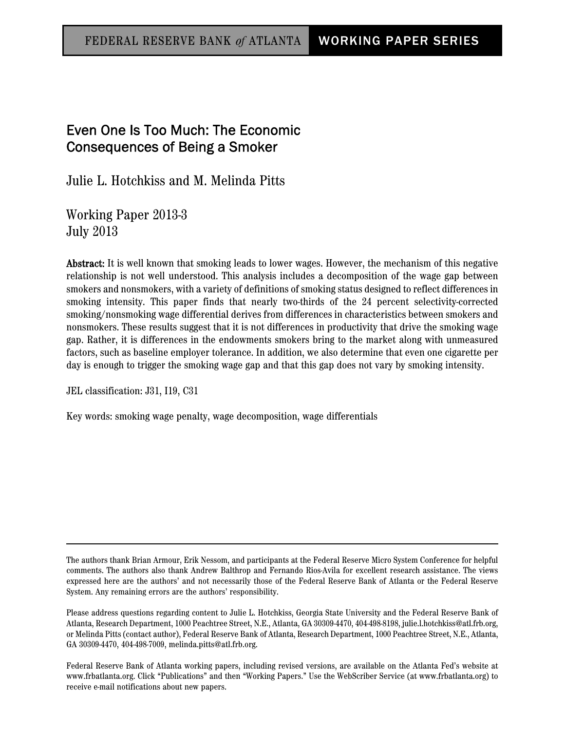# Even One Is Too Much: The Economic Consequences of Being a Smoker

Julie L. Hotchkiss and M. Melinda Pitts

Working Paper 2013-3 July 2013

Abstract: It is well known that smoking leads to lower wages. However, the mechanism of this negative relationship is not well understood. This analysis includes a decomposition of the wage gap between smokers and nonsmokers, with a variety of definitions of smoking status designed to reflect differences in smoking intensity. This paper finds that nearly two-thirds of the 24 percent selectivity-corrected smoking/nonsmoking wage differential derives from differences in characteristics between smokers and nonsmokers. These results suggest that it is not differences in productivity that drive the smoking wage gap. Rather, it is differences in the endowments smokers bring to the market along with unmeasured factors, such as baseline employer tolerance. In addition, we also determine that even one cigarette per day is enough to trigger the smoking wage gap and that this gap does not vary by smoking intensity.

JEL classification: J31, I19, C31

Key words: smoking wage penalty, wage decomposition, wage differentials

The authors thank Brian Armour, Erik Nessom, and participants at the Federal Reserve Micro System Conference for helpful comments. The authors also thank Andrew Balthrop and Fernando Rios-Avila for excellent research assistance. The views expressed here are the authors' and not necessarily those of the Federal Reserve Bank of Atlanta or the Federal Reserve System. Any remaining errors are the authors' responsibility.

Please address questions regarding content to Julie L. Hotchkiss, Georgia State University and the Federal Reserve Bank of Atlanta, Research Department, 1000 Peachtree Street, N.E., Atlanta, GA 30309-4470, 404-498-8198, julie.l.hotchkiss@atl.frb.org, or Melinda Pitts (contact author), Federal Reserve Bank of Atlanta, Research Department, 1000 Peachtree Street, N.E., Atlanta, GA 30309-4470, 404-498-7009, melinda.pitts@atl.frb.org.

Federal Reserve Bank of Atlanta working papers, including revised versions, are available on the Atlanta Fed's website at www.frbatlanta.org. Click "Publications" and then "Working Papers." Use the WebScriber Service (at www.frbatlanta.org) to receive e-mail notifications about new papers.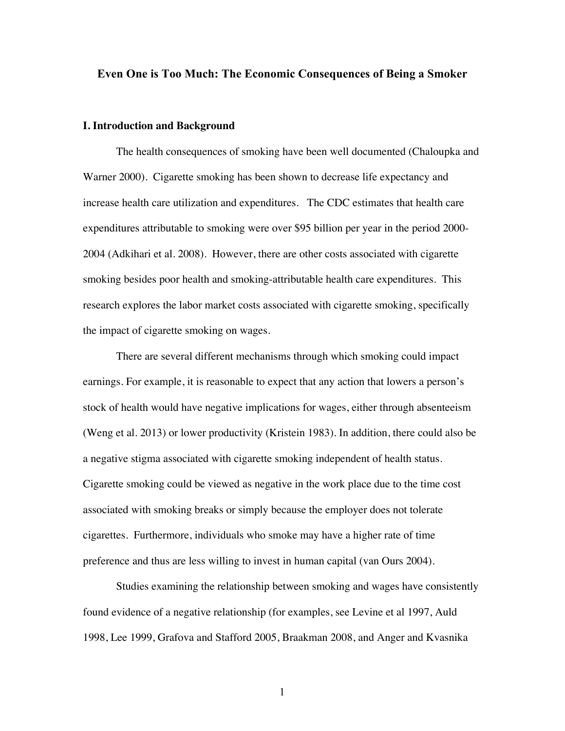#### **Even One is Too Much: The Economic Consequences of Being a Smoker**

#### **I. Introduction and Background**

The health consequences of smoking have been well documented (Chaloupka and Warner 2000). Cigarette smoking has been shown to decrease life expectancy and increase health care utilization and expenditures. The CDC estimates that health care expenditures attributable to smoking were over \$95 billion per year in the period 2000- 2004 (Adkihari et al. 2008). However, there are other costs associated with cigarette smoking besides poor health and smoking-attributable health care expenditures. This research explores the labor market costs associated with cigarette smoking, specifically the impact of cigarette smoking on wages.

There are several different mechanisms through which smoking could impact earnings. For example, it is reasonable to expect that any action that lowers a person's stock of health would have negative implications for wages, either through absenteeism (Weng et al. 2013) or lower productivity (Kristein 1983). In addition, there could also be a negative stigma associated with cigarette smoking independent of health status. Cigarette smoking could be viewed as negative in the work place due to the time cost associated with smoking breaks or simply because the employer does not tolerate cigarettes. Furthermore, individuals who smoke may have a higher rate of time preference and thus are less willing to invest in human capital (van Ours 2004).

Studies examining the relationship between smoking and wages have consistently found evidence of a negative relationship (for examples, see Levine et al 1997, Auld 1998, Lee 1999, Grafova and Stafford 2005, Braakman 2008, and Anger and Kvasnika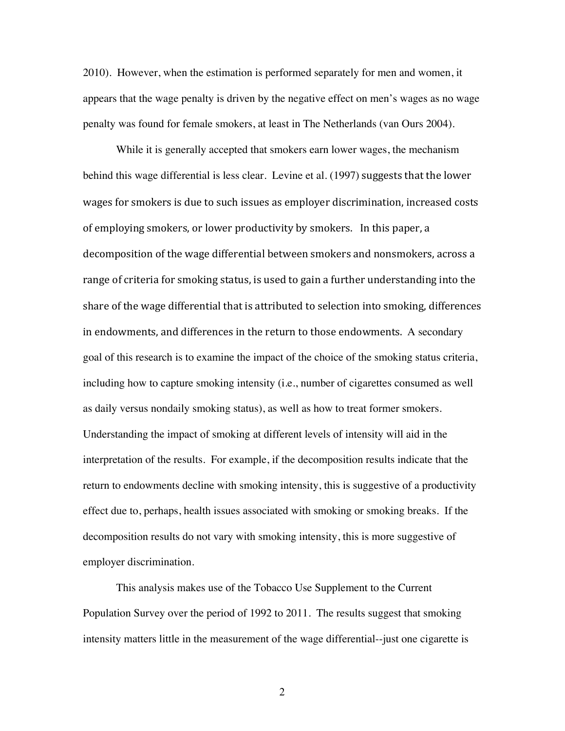2010). However, when the estimation is performed separately for men and women, it appears that the wage penalty is driven by the negative effect on men's wages as no wage penalty was found for female smokers, at least in The Netherlands (van Ours 2004).

While it is generally accepted that smokers earn lower wages, the mechanism behind this wage differential is less clear. Levine et al. (1997) suggests that the lower wages for smokers is due to such issues as employer discrimination, increased costs of employing smokers, or lower productivity by smokers. In this paper, a decomposition of the wage differential between smokers and nonsmokers, across a range of criteria for smoking status, is used to gain a further understanding into the share of the wage differential that is attributed to selection into smoking, differences in endowments, and differences in the return to those endowments. A secondary goal of this research is to examine the impact of the choice of the smoking status criteria, including how to capture smoking intensity (i.e., number of cigarettes consumed as well as daily versus nondaily smoking status), as well as how to treat former smokers. Understanding the impact of smoking at different levels of intensity will aid in the interpretation of the results. For example, if the decomposition results indicate that the return to endowments decline with smoking intensity, this is suggestive of a productivity effect due to, perhaps, health issues associated with smoking or smoking breaks. If the decomposition results do not vary with smoking intensity, this is more suggestive of employer discrimination.

This analysis makes use of the Tobacco Use Supplement to the Current Population Survey over the period of 1992 to 2011. The results suggest that smoking intensity matters little in the measurement of the wage differential--just one cigarette is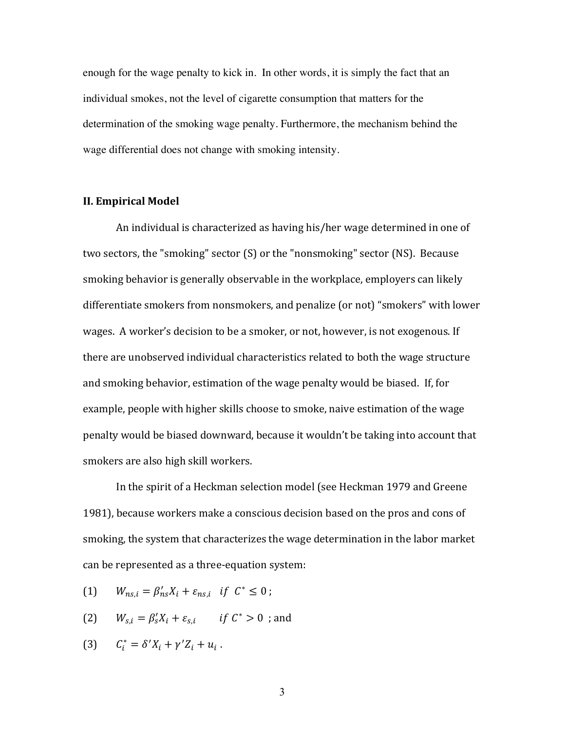enough for the wage penalty to kick in. In other words, it is simply the fact that an individual smokes, not the level of cigarette consumption that matters for the determination of the smoking wage penalty. Furthermore, the mechanism behind the wage differential does not change with smoking intensity.

#### **II. Empirical Model**

An individual is characterized as having his/her wage determined in one of two sectors, the "smoking" sector  $(S)$  or the "nonsmoking" sector  $(NS)$ . Because smoking behavior is generally observable in the workplace, employers can likely differentiate smokers from nonsmokers, and penalize (or not) "smokers" with lower wages. A worker's decision to be a smoker, or not, however, is not exogenous. If there are unobserved individual characteristics related to both the wage structure and smoking behavior, estimation of the wage penalty would be biased. If, for example, people with higher skills choose to smoke, naive estimation of the wage penalty would be biased downward, because it wouldn't be taking into account that smokers are also high skill workers.

In the spirit of a Heckman selection model (see Heckman 1979 and Greene 1981), because workers make a conscious decision based on the pros and cons of smoking, the system that characterizes the wage determination in the labor market can be represented as a three-equation system:

(1)  $W_{ns,i} = \beta'_{ns} X_i + \varepsilon_{ns,i}$  if  $C^* \le 0$ ;

(2) 
$$
W_{s,i} = \beta'_s X_i + \varepsilon_{s,i}
$$
 if  $C^* > 0$ ; and

$$
(3) \qquad C_i^* = \delta' X_i + \gamma' Z_i + u_i \, .
$$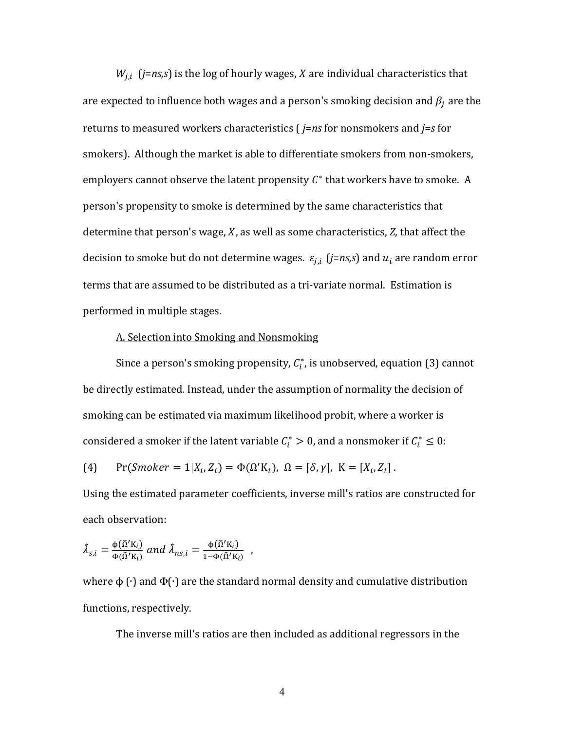$W_{i,i}$  (*j*=*ns,s*) is the log of hourly wages, *X* are individual characteristics that are expected to influence both wages and a person's smoking decision and  $\beta_i$  are the returns to measured workers characteristics (*j*=*ns* for nonsmokers and *j*=*s* for smokers). Although the market is able to differentiate smokers from non-smokers, employers cannot observe the latent propensity  $C^*$  that workers have to smoke. A person's propensity to smoke is determined by the same characteristics that determine that person's wage,  $X$ , as well as some characteristics,  $Z$ , that affect the decision to smoke but do not determine wages.  $\varepsilon_{i,i}$  (*j*=*ns*,*s*) and  $u_i$  are random error terms that are assumed to be distributed as a tri-variate normal. Estimation is performed in multiple stages.

#### A. Selection into Smoking and Nonsmoking

Since a person's smoking propensity,  $C_i^*$ , is unobserved, equation (3) cannot be directly estimated. Instead, under the assumption of normality the decision of smoking can be estimated via maximum likelihood probit, where a worker is considered a smoker if the latent variable  $C_i^* > 0$ , and a nonsmoker if  $C_i^* \leq 0$ :

(4) 
$$
\Pr(\text{Smoker} = 1 | X_i, Z_i) = \Phi(\Omega' K_i), \ \Omega = [\delta, \gamma], \ K = [X_i, Z_i].
$$

Using the estimated parameter coefficients, inverse mill's ratios are constructed for each observation:

$$
\hat{\lambda}_{s,i} = \frac{\phi(\hat{\Omega}' \kappa_i)}{\phi(\hat{\Omega}' \kappa_i)} \text{ and } \hat{\lambda}_{n s,i} = \frac{\phi(\hat{\Omega}' \kappa_i)}{1 - \phi(\hat{\Omega}' \kappa_i)} ,
$$

where  $\phi(\cdot)$  and  $\Phi(\cdot)$  are the standard normal density and cumulative distribution functions, respectively.

The inverse mill's ratios are then included as additional regressors in the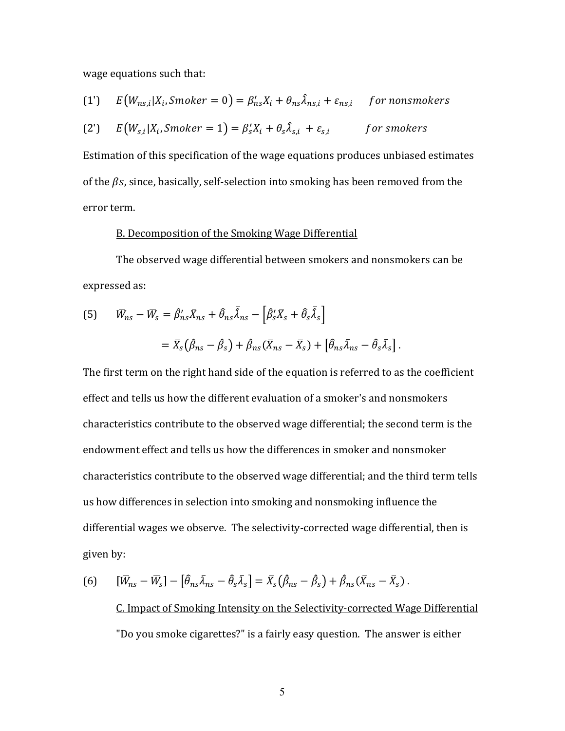wage equations such that:

(1') 
$$
E(W_{ns,i}|X_i, Smoker = 0) = \beta'_{ns}X_i + \theta_{ns}\hat{\lambda}_{ns,i} + \varepsilon_{ns,i}
$$
 for nonsmokes  
(2')  $E(W_{s,i}|X_i, Smoker = 1) = \beta'_{s}X_i + \theta_{s}\hat{\lambda}_{s,i} + \varepsilon_{s,i}$  for smokers

Estimation of this specification of the wage equations produces unbiased estimates of the  $\beta$ s, since, basically, self-selection into smoking has been removed from the error term.

#### B. Decomposition of the Smoking Wage Differential

The observed wage differential between smokers and nonsmokers can be expressed as:

(5) 
$$
\overline{W}_{ns} - \overline{W}_{s} = \hat{\beta}'_{ns}\overline{X}_{ns} + \hat{\theta}_{ns}\overline{\hat{\lambda}}_{ns} - \left[\hat{\beta}'_{s}\overline{X}_{s} + \hat{\theta}_{s}\overline{\hat{\lambda}}_{s}\right]
$$

$$
= \overline{X}_{s}(\hat{\beta}_{ns} - \hat{\beta}_{s}) + \hat{\beta}_{ns}(\overline{X}_{ns} - \overline{X}_{s}) + \left[\hat{\theta}_{ns}\overline{\lambda}_{ns} - \hat{\theta}_{s}\overline{\lambda}_{s}\right].
$$

The first term on the right hand side of the equation is referred to as the coefficient effect and tells us how the different evaluation of a smoker's and nonsmokers characteristics contribute to the observed wage differential; the second term is the endowment effect and tells us how the differences in smoker and nonsmoker characteristics contribute to the observed wage differential; and the third term tells us how differences in selection into smoking and nonsmoking influence the differential wages we observe. The selectivity-corrected wage differential, then is given by:

\n- (6) 
$$
[\overline{W}_{ns} - \overline{W}_s] - [\hat{\theta}_{ns}\overline{\lambda}_{ns} - \hat{\theta}_s\overline{\lambda}_s] = \overline{X}_s(\hat{\beta}_{ns} - \hat{\beta}_s) + \hat{\beta}_{ns}(\overline{X}_{ns} - \overline{X}_s)
$$
.
\n- *C. Impact of Smoking Intensity on the Selectivity-corrected wage Differential* "Do you smoke eigenettes?" is a fairly easy question. The answer is either
\n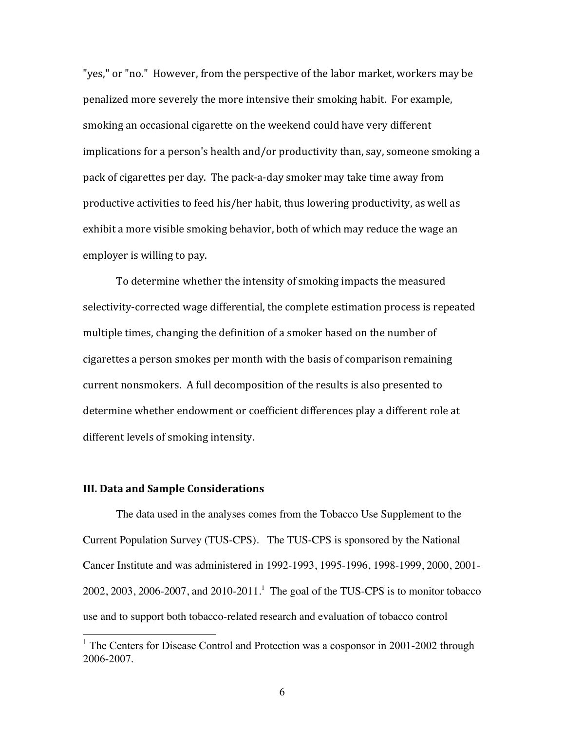"yes," or "no." However, from the perspective of the labor market, workers may be penalized more severely the more intensive their smoking habit. For example, smoking an occasional cigarette on the weekend could have very different implications for a person's health and/or productivity than, say, someone smoking a pack of cigarettes per day. The pack-a-day smoker may take time away from productive activities to feed his/her habit, thus lowering productivity, as well as exhibit a more visible smoking behavior, both of which may reduce the wage an employer is willing to pay.

To determine whether the intensity of smoking impacts the measured selectivity-corrected wage differential, the complete estimation process is repeated multiple times, changing the definition of a smoker based on the number of cigarettes a person smokes per month with the basis of comparison remaining current nonsmokers. A full decomposition of the results is also presented to determine whether endowment or coefficient differences play a different role at different levels of smoking intensity.

# **III. Data and Sample Considerations**

The data used in the analyses comes from the Tobacco Use Supplement to the Current Population Survey (TUS-CPS). The TUS-CPS is sponsored by the National Cancer Institute and was administered in 1992-1993, 1995-1996, 1998-1999, 2000, 2001- 2002, 2003, 2006-2007, and 2010-2011.<sup>1</sup> The goal of the TUS-CPS is to monitor tobacco use and to support both tobacco-related research and evaluation of tobacco control

 $1$  The Centers for Disease Control and Protection was a cosponsor in 2001-2002 through 2006-2007.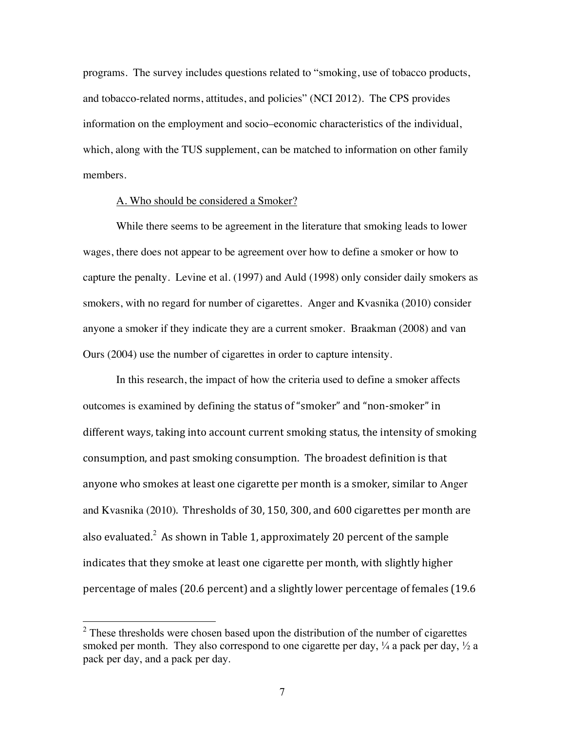programs. The survey includes questions related to "smoking, use of tobacco products, and tobacco-related norms, attitudes, and policies" (NCI 2012). The CPS provides information on the employment and socio–economic characteristics of the individual, which, along with the TUS supplement, can be matched to information on other family members.

#### A. Who should be considered a Smoker?

While there seems to be agreement in the literature that smoking leads to lower wages, there does not appear to be agreement over how to define a smoker or how to capture the penalty. Levine et al. (1997) and Auld (1998) only consider daily smokers as smokers, with no regard for number of cigarettes. Anger and Kvasnika (2010) consider anyone a smoker if they indicate they are a current smoker. Braakman (2008) and van Ours (2004) use the number of cigarettes in order to capture intensity.

In this research, the impact of how the criteria used to define a smoker affects outcomes is examined by defining the status of "smoker" and "non-smoker" in different ways, taking into account current smoking status, the intensity of smoking consumption, and past smoking consumption. The broadest definition is that anyone who smokes at least one cigarette per month is a smoker, similar to Anger and Kvasnika (2010). Thresholds of 30, 150, 300, and 600 cigarettes per month are also evaluated.<sup>2</sup> As shown in Table 1, approximately 20 percent of the sample indicates that they smoke at least one cigarette per month, with slightly higher percentage of males (20.6 percent) and a slightly lower percentage of females (19.6

 $2$  These thresholds were chosen based upon the distribution of the number of cigarettes smoked per month. They also correspond to one cigarette per day,  $\frac{1}{4}$  a pack per day,  $\frac{1}{2}$  a pack per day, and a pack per day.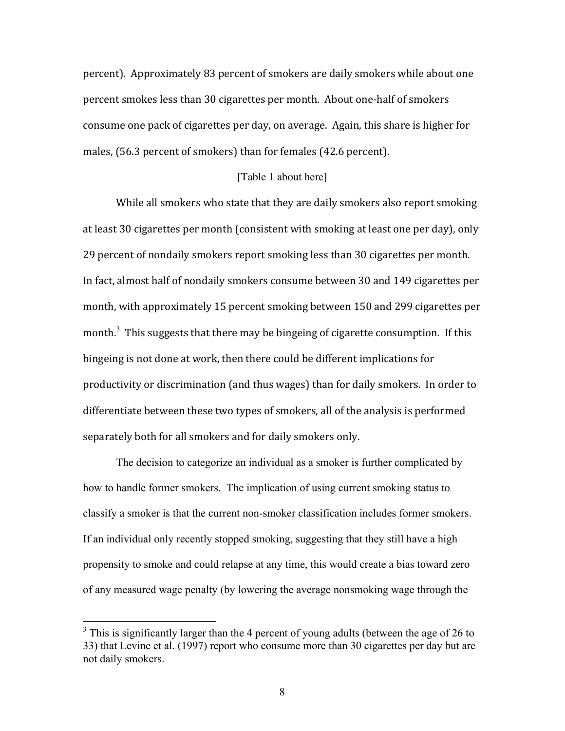percent). Approximately 83 percent of smokers are daily smokers while about one percent smokes less than 30 cigarettes per month. About one-half of smokers consume one pack of cigarettes per day, on average. Again, this share is higher for males, (56.3 percent of smokers) than for females (42.6 percent).

## [Table 1 about here]

While all smokers who state that they are daily smokers also report smoking at least 30 cigarettes per month (consistent with smoking at least one per day), only 29 percent of nondaily smokers report smoking less than 30 cigarettes per month. In fact, almost half of nondaily smokers consume between 30 and 149 cigarettes per month, with approximately 15 percent smoking between 150 and 299 cigarettes per month.<sup>3</sup> This suggests that there may be bingeing of cigarette consumption. If this bingeing is not done at work, then there could be different implications for productivity or discrimination (and thus wages) than for daily smokers. In order to differentiate between these two types of smokers, all of the analysis is performed separately both for all smokers and for daily smokers only.

The decision to categorize an individual as a smoker is further complicated by how to handle former smokers. The implication of using current smoking status to classify a smoker is that the current non-smoker classification includes former smokers. If an individual only recently stopped smoking, suggesting that they still have a high propensity to smoke and could relapse at any time, this would create a bias toward zero of any measured wage penalty (by lowering the average nonsmoking wage through the

 $3$  This is significantly larger than the 4 percent of young adults (between the age of 26 to 33) that Levine et al. (1997) report who consume more than 30 cigarettes per day but are not daily smokers.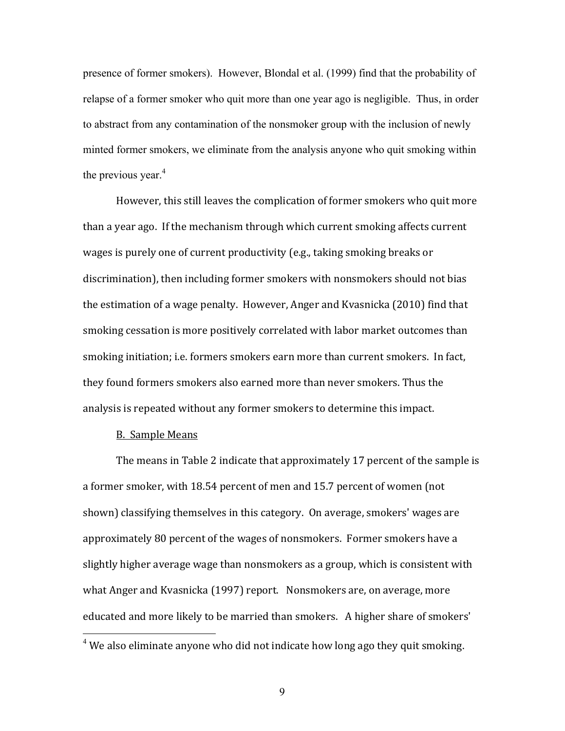presence of former smokers). However, Blondal et al. (1999) find that the probability of relapse of a former smoker who quit more than one year ago is negligible. Thus, in order to abstract from any contamination of the nonsmoker group with the inclusion of newly minted former smokers, we eliminate from the analysis anyone who quit smoking within the previous year. $4$ 

However, this still leaves the complication of former smokers who quit more than a year ago. If the mechanism through which current smoking affects current wages is purely one of current productivity (e.g., taking smoking breaks or discrimination), then including former smokers with nonsmokers should not bias the estimation of a wage penalty. However, Anger and Kvasnicka (2010) find that smoking cessation is more positively correlated with labor market outcomes than smoking initiation; i.e. formers smokers earn more than current smokers. In fact, they found formers smokers also earned more than never smokers. Thus the analysis is repeated without any former smokers to determine this impact.

## **B.** Sample Means

The means in Table 2 indicate that approximately 17 percent of the sample is a former smoker, with 18.54 percent of men and 15.7 percent of women (not shown) classifying themselves in this category. On average, smokers' wages are approximately 80 percent of the wages of nonsmokers. Former smokers have a slightly higher average wage than nonsmokers as a group, which is consistent with what Anger and Kvasnicka (1997) report. Nonsmokers are, on average, more educated and more likely to be married than smokers. A higher share of smokers'

 $4$  We also eliminate anyone who did not indicate how long ago they quit smoking.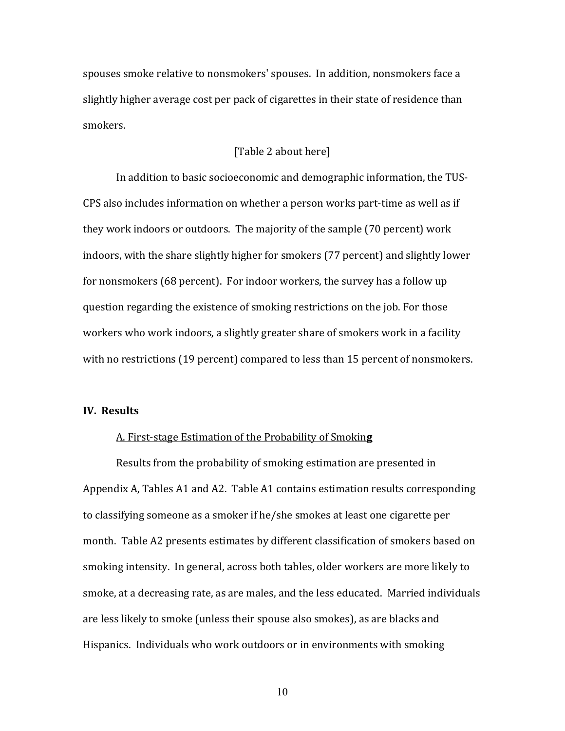spouses smoke relative to nonsmokers' spouses. In addition, nonsmokers face a slightly higher average cost per pack of cigarettes in their state of residence than smokers. 

## [Table 2 about here]

In addition to basic socioeconomic and demographic information, the TUS-CPS also includes information on whether a person works part-time as well as if they work indoors or outdoors. The majority of the sample (70 percent) work indoors, with the share slightly higher for smokers (77 percent) and slightly lower for nonsmokers (68 percent). For indoor workers, the survey has a follow up question regarding the existence of smoking restrictions on the job. For those workers who work indoors, a slightly greater share of smokers work in a facility with no restrictions (19 percent) compared to less than 15 percent of nonsmokers.

# **IV.** Results

## A. First-stage Estimation of the Probability of Smoking

Results from the probability of smoking estimation are presented in Appendix A, Tables A1 and A2. Table A1 contains estimation results corresponding to classifying someone as a smoker if he/she smokes at least one cigarette per month. Table A2 presents estimates by different classification of smokers based on smoking intensity. In general, across both tables, older workers are more likely to smoke, at a decreasing rate, as are males, and the less educated. Married individuals are less likely to smoke (unless their spouse also smokes), as are blacks and Hispanics. Individuals who work outdoors or in environments with smoking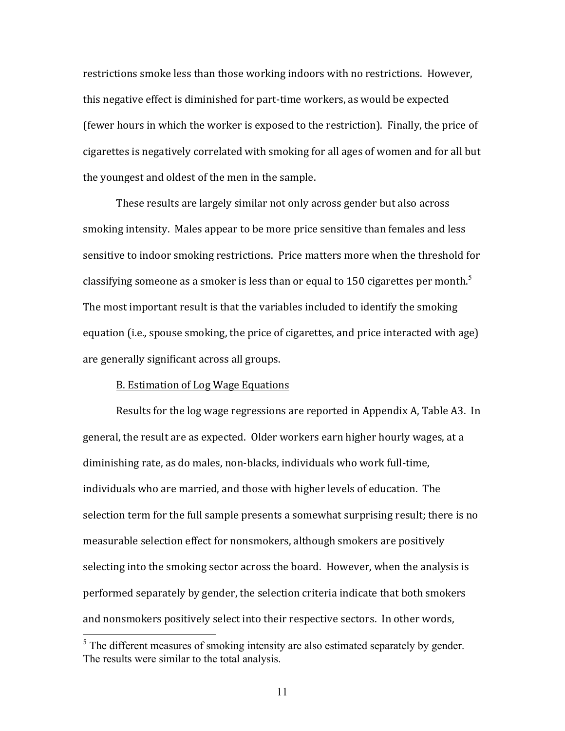restrictions smoke less than those working indoors with no restrictions. However, this negative effect is diminished for part-time workers, as would be expected (fewer hours in which the worker is exposed to the restriction). Finally, the price of cigarettes is negatively correlated with smoking for all ages of women and for all but the youngest and oldest of the men in the sample.

These results are largely similar not only across gender but also across smoking intensity. Males appear to be more price sensitive than females and less sensitive to indoor smoking restrictions. Price matters more when the threshold for classifying someone as a smoker is less than or equal to 150 cigarettes per month.<sup>5</sup> The most important result is that the variables included to identify the smoking equation (i.e., spouse smoking, the price of cigarettes, and price interacted with age) are generally significant across all groups.

### **B. Estimation of Log Wage Equations**

Results for the log wage regressions are reported in Appendix A, Table A3. In general, the result are as expected. Older workers earn higher hourly wages, at a diminishing rate, as do males, non-blacks, individuals who work full-time, individuals who are married, and those with higher levels of education. The selection term for the full sample presents a somewhat surprising result; there is no measurable selection effect for nonsmokers, although smokers are positively selecting into the smoking sector across the board. However, when the analysis is performed separately by gender, the selection criteria indicate that both smokers and nonsmokers positively select into their respective sectors. In other words,

<sup>&</sup>lt;sup>5</sup> The different measures of smoking intensity are also estimated separately by gender. The results were similar to the total analysis.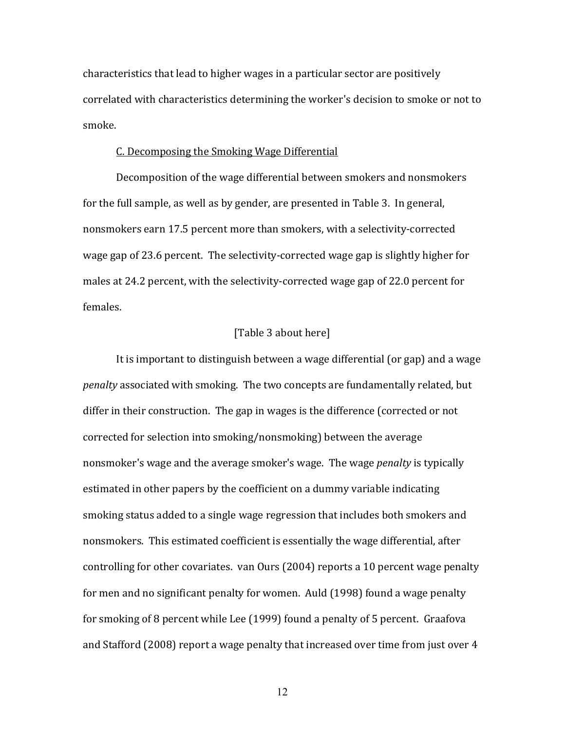characteristics that lead to higher wages in a particular sector are positively correlated with characteristics determining the worker's decision to smoke or not to smoke.

#### C. Decomposing the Smoking Wage Differential

Decomposition of the wage differential between smokers and nonsmokers for the full sample, as well as by gender, are presented in Table 3. In general, nonsmokers earn 17.5 percent more than smokers, with a selectivity-corrected wage gap of 23.6 percent. The selectivity-corrected wage gap is slightly higher for males at 24.2 percent, with the selectivity-corrected wage gap of 22.0 percent for females. 

# [Table 3 about here]

It is important to distinguish between a wage differential (or gap) and a wage *penalty* associated with smoking. The two concepts are fundamentally related, but differ in their construction. The gap in wages is the difference (corrected or not corrected for selection into smoking/nonsmoking) between the average nonsmoker's wage and the average smoker's wage. The wage *penalty* is typically estimated in other papers by the coefficient on a dummy variable indicating smoking status added to a single wage regression that includes both smokers and nonsmokers. This estimated coefficient is essentially the wage differential, after controlling for other covariates. van Ours (2004) reports a 10 percent wage penalty for men and no significant penalty for women. Auld (1998) found a wage penalty for smoking of 8 percent while Lee (1999) found a penalty of 5 percent. Graafova and Stafford (2008) report a wage penalty that increased over time from just over 4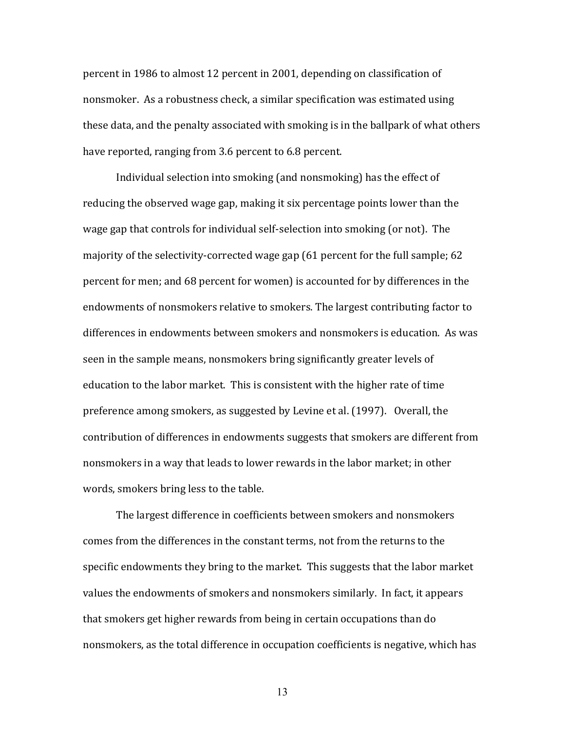percent in 1986 to almost 12 percent in 2001, depending on classification of nonsmoker. As a robustness check, a similar specification was estimated using these data, and the penalty associated with smoking is in the ballpark of what others have reported, ranging from 3.6 percent to 6.8 percent.

Individual selection into smoking (and nonsmoking) has the effect of reducing the observed wage gap, making it six percentage points lower than the wage gap that controls for individual self-selection into smoking (or not). The majority of the selectivity-corrected wage gap  $(61$  percent for the full sample;  $62$ percent for men; and 68 percent for women) is accounted for by differences in the endowments of nonsmokers relative to smokers. The largest contributing factor to differences in endowments between smokers and nonsmokers is education. As was seen in the sample means, nonsmokers bring significantly greater levels of education to the labor market. This is consistent with the higher rate of time preference among smokers, as suggested by Levine et al. (1997). Overall, the contribution of differences in endowments suggests that smokers are different from nonsmokers in a way that leads to lower rewards in the labor market; in other words, smokers bring less to the table.

The largest difference in coefficients between smokers and nonsmokers comes from the differences in the constant terms, not from the returns to the specific endowments they bring to the market. This suggests that the labor market values the endowments of smokers and nonsmokers similarly. In fact, it appears that smokers get higher rewards from being in certain occupations than do nonsmokers, as the total difference in occupation coefficients is negative, which has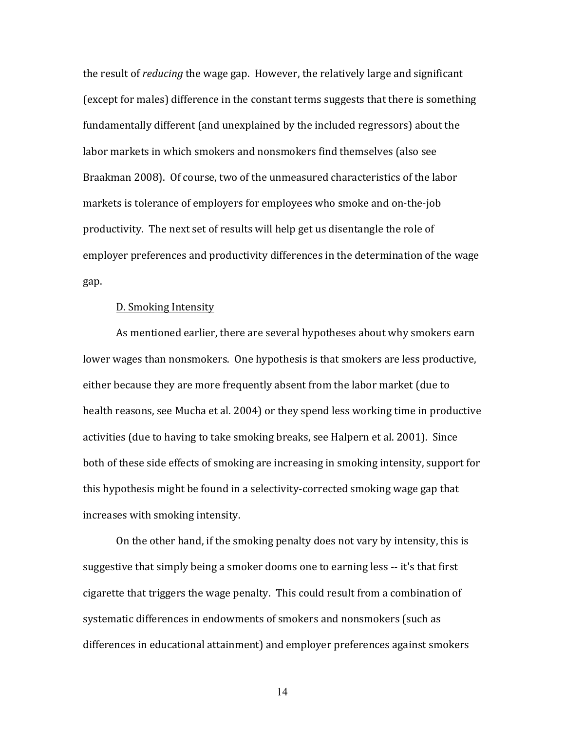the result of *reducing* the wage gap. However, the relatively large and significant (except for males) difference in the constant terms suggests that there is something fundamentally different (and unexplained by the included regressors) about the labor markets in which smokers and nonsmokers find themselves (also see Braakman 2008). Of course, two of the unmeasured characteristics of the labor markets is tolerance of employers for employees who smoke and on-the-job productivity. The next set of results will help get us disentangle the role of employer preferences and productivity differences in the determination of the wage gap.

#### D. Smoking Intensity

As mentioned earlier, there are several hypotheses about why smokers earn lower wages than nonsmokers. One hypothesis is that smokers are less productive, either because they are more frequently absent from the labor market (due to health reasons, see Mucha et al. 2004) or they spend less working time in productive activities (due to having to take smoking breaks, see Halpern et al. 2001). Since both of these side effects of smoking are increasing in smoking intensity, support for this hypothesis might be found in a selectivity-corrected smoking wage gap that increases with smoking intensity.

On the other hand, if the smoking penalty does not vary by intensity, this is suggestive that simply being a smoker dooms one to earning less -- it's that first cigarette that triggers the wage penalty. This could result from a combination of systematic differences in endowments of smokers and nonsmokers (such as differences in educational attainment) and employer preferences against smokers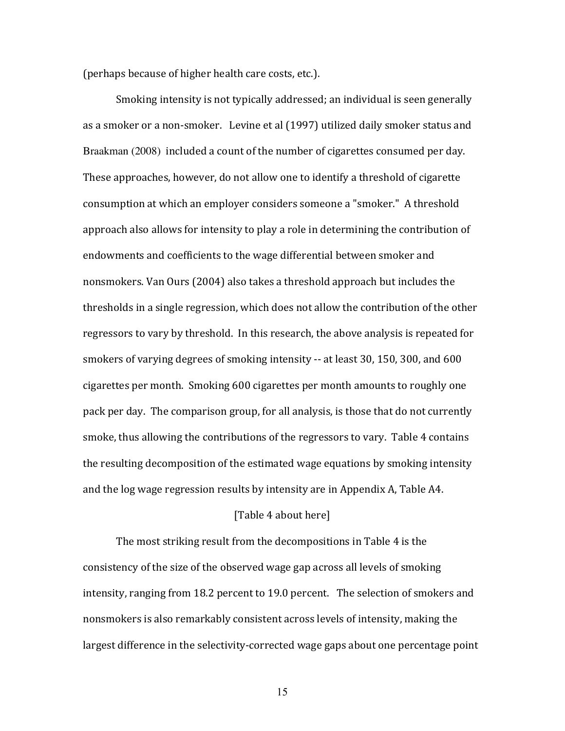(perhaps because of higher health care costs, etc.).

Smoking intensity is not typically addressed; an individual is seen generally as a smoker or a non-smoker. Levine et al (1997) utilized daily smoker status and Braakman (2008) included a count of the number of cigarettes consumed per day. These approaches, however, do not allow one to identify a threshold of cigarette consumption at which an employer considers someone a "smoker." A threshold approach also allows for intensity to play a role in determining the contribution of endowments and coefficients to the wage differential between smoker and nonsmokers. Van Ours (2004) also takes a threshold approach but includes the thresholds in a single regression, which does not allow the contribution of the other regressors to vary by threshold. In this research, the above analysis is repeated for smokers of varying degrees of smoking intensity -- at least 30, 150, 300, and 600 cigarettes per month. Smoking 600 cigarettes per month amounts to roughly one pack per day. The comparison group, for all analysis, is those that do not currently smoke, thus allowing the contributions of the regressors to vary. Table 4 contains the resulting decomposition of the estimated wage equations by smoking intensity and the log wage regression results by intensity are in Appendix A, Table A4.

# [Table 4 about here]

The most striking result from the decompositions in Table 4 is the consistency of the size of the observed wage gap across all levels of smoking intensity, ranging from 18.2 percent to 19.0 percent. The selection of smokers and nonsmokers is also remarkably consistent across levels of intensity, making the largest difference in the selectivity-corrected wage gaps about one percentage point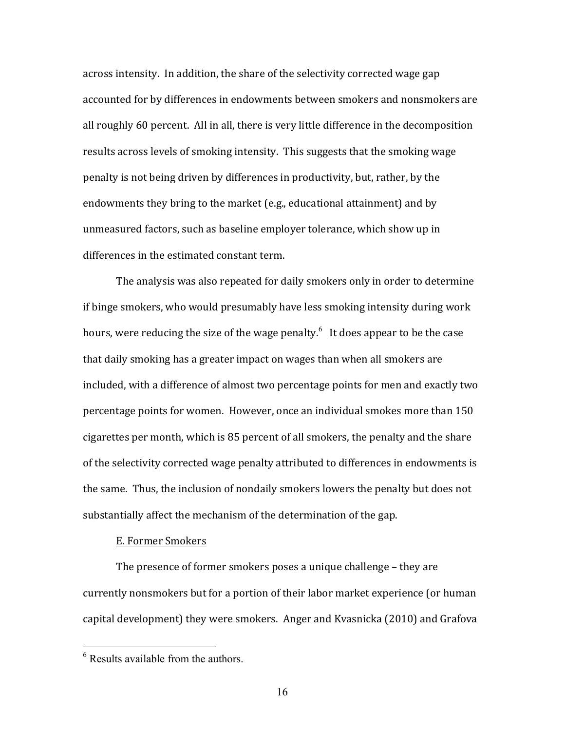across intensity. In addition, the share of the selectivity corrected wage gap accounted for by differences in endowments between smokers and nonsmokers are all roughly 60 percent. All in all, there is very little difference in the decomposition results across levels of smoking intensity. This suggests that the smoking wage penalty is not being driven by differences in productivity, but, rather, by the endowments they bring to the market (e.g., educational attainment) and by unmeasured factors, such as baseline employer tolerance, which show up in differences in the estimated constant term.

The analysis was also repeated for daily smokers only in order to determine if binge smokers, who would presumably have less smoking intensity during work hours, were reducing the size of the wage penalty. $^6$  It does appear to be the case that daily smoking has a greater impact on wages than when all smokers are included, with a difference of almost two percentage points for men and exactly two percentage points for women. However, once an individual smokes more than 150 cigarettes per month, which is 85 percent of all smokers, the penalty and the share of the selectivity corrected wage penalty attributed to differences in endowments is the same. Thus, the inclusion of nondaily smokers lowers the penalty but does not substantially affect the mechanism of the determination of the gap.

#### E. Former Smokers

The presence of former smokers poses a unique challenge – they are currently nonsmokers but for a portion of their labor market experience (or human capital development) they were smokers. Anger and Kvasnicka (2010) and Grafova

 <sup>6</sup> Results available from the authors.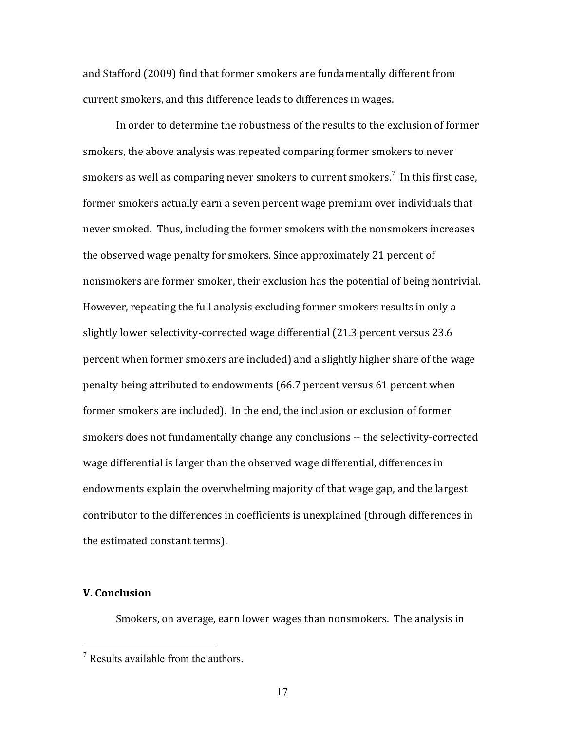and Stafford (2009) find that former smokers are fundamentally different from current smokers, and this difference leads to differences in wages.

In order to determine the robustness of the results to the exclusion of former smokers, the above analysis was repeated comparing former smokers to never smokers as well as comparing never smokers to current smokers.<sup>7</sup> In this first case, former smokers actually earn a seven percent wage premium over individuals that never smoked. Thus, including the former smokers with the nonsmokers increases the observed wage penalty for smokers. Since approximately 21 percent of nonsmokers are former smoker, their exclusion has the potential of being nontrivial. However, repeating the full analysis excluding former smokers results in only a slightly lower selectivity-corrected wage differential (21.3 percent versus 23.6 percent when former smokers are included) and a slightly higher share of the wage penalty being attributed to endowments (66.7 percent versus 61 percent when former smokers are included). In the end, the inclusion or exclusion of former smokers does not fundamentally change any conclusions -- the selectivity-corrected wage differential is larger than the observed wage differential, differences in endowments explain the overwhelming majority of that wage gap, and the largest contributor to the differences in coefficients is unexplained (through differences in the estimated constant terms).

### **V.** Conclusion

Smokers, on average, earn lower wages than nonsmokers. The analysis in

 $<sup>7</sup>$  Results available from the authors.</sup>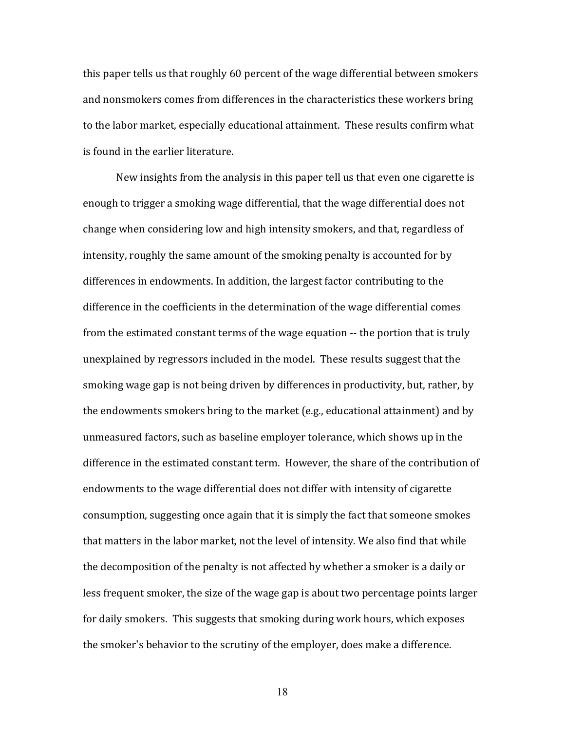this paper tells us that roughly  $60$  percent of the wage differential between smokers and nonsmokers comes from differences in the characteristics these workers bring to the labor market, especially educational attainment. These results confirm what is found in the earlier literature.

New insights from the analysis in this paper tell us that even one cigarette is enough to trigger a smoking wage differential, that the wage differential does not change when considering low and high intensity smokers, and that, regardless of intensity, roughly the same amount of the smoking penalty is accounted for by differences in endowments. In addition, the largest factor contributing to the difference in the coefficients in the determination of the wage differential comes from the estimated constant terms of the wage equation -- the portion that is truly unexplained by regressors included in the model. These results suggest that the smoking wage gap is not being driven by differences in productivity, but, rather, by the endowments smokers bring to the market (e.g., educational attainment) and by unmeasured factors, such as baseline employer tolerance, which shows up in the difference in the estimated constant term. However, the share of the contribution of endowments to the wage differential does not differ with intensity of cigarette consumption, suggesting once again that it is simply the fact that someone smokes that matters in the labor market, not the level of intensity. We also find that while the decomposition of the penalty is not affected by whether a smoker is a daily or less frequent smoker, the size of the wage gap is about two percentage points larger for daily smokers. This suggests that smoking during work hours, which exposes the smoker's behavior to the scrutiny of the employer, does make a difference.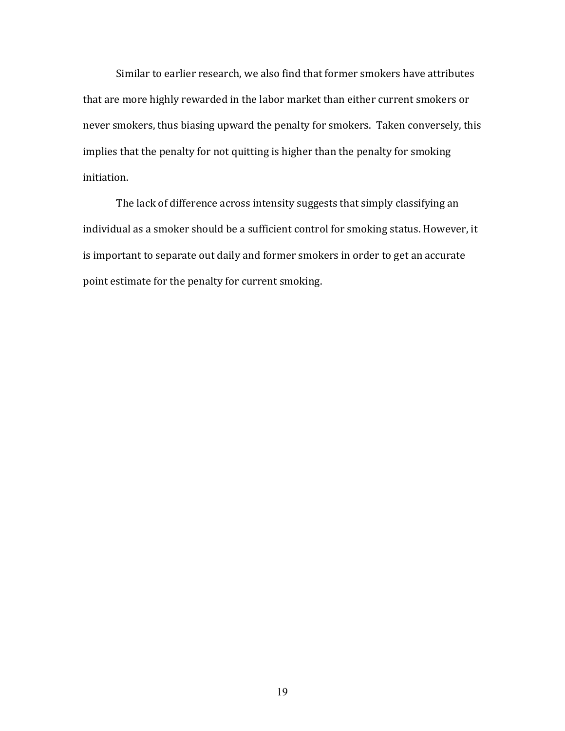Similar to earlier research, we also find that former smokers have attributes that are more highly rewarded in the labor market than either current smokers or never smokers, thus biasing upward the penalty for smokers. Taken conversely, this implies that the penalty for not quitting is higher than the penalty for smoking initiation.

The lack of difference across intensity suggests that simply classifying an individual as a smoker should be a sufficient control for smoking status. However, it is important to separate out daily and former smokers in order to get an accurate point estimate for the penalty for current smoking.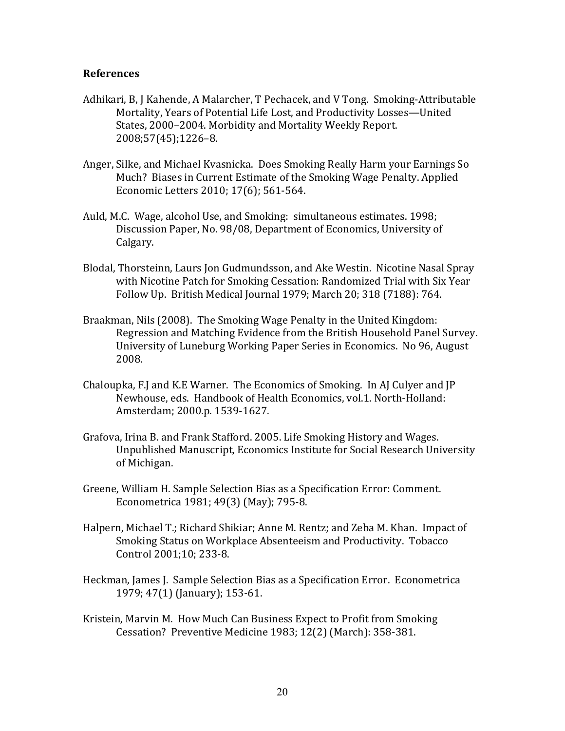# **References**

- Adhikari, B, J Kahende, A Malarcher, T Pechacek, and V Tong. Smoking-Attributable Mortality, Years of Potential Life Lost, and Productivity Losses-United States, 2000–2004. Morbidity and Mortality Weekly Report. 2008;57(45);1226–8.
- Anger, Silke, and Michael Kvasnicka. Does Smoking Really Harm your Earnings So Much? Biases in Current Estimate of the Smoking Wage Penalty. Applied Economic Letters 2010; 17(6); 561-564.
- Auld, M.C. Wage, alcohol Use, and Smoking: simultaneous estimates. 1998; Discussion Paper, No. 98/08, Department of Economics, University of Calgary.
- Blodal, Thorsteinn, Laurs Jon Gudmundsson, and Ake Westin. Nicotine Nasal Spray with Nicotine Patch for Smoking Cessation: Randomized Trial with Six Year Follow Up. British Medical Journal 1979; March 20; 318 (7188): 764.
- Braakman, Nils (2008). The Smoking Wage Penalty in the United Kingdom: Regression and Matching Evidence from the British Household Panel Survey. University of Luneburg Working Paper Series in Economics. No 96, August 2008.
- Chaloupka, F.J and K.E Warner. The Economics of Smoking. In AJ Culyer and  $IP$ Newhouse, eds. Handbook of Health Economics, vol.1. North-Holland: Amsterdam; 2000.p. 1539-1627.
- Grafova, Irina B. and Frank Stafford. 2005. Life Smoking History and Wages. Unpublished Manuscript, Economics Institute for Social Research University of Michigan.
- Greene, William H. Sample Selection Bias as a Specification Error: Comment. Econometrica 1981; 49(3) (May); 795-8.
- Halpern, Michael T.; Richard Shikiar; Anne M. Rentz; and Zeba M. Khan. Impact of Smoking Status on Workplace Absenteeism and Productivity. Tobacco Control 2001;10; 233-8.
- Heckman, James J. Sample Selection Bias as a Specification Error. Econometrica 1979; 47(1) (January); 153-61.
- Kristein, Marvin M. How Much Can Business Expect to Profit from Smoking Cessation? Preventive Medicine 1983; 12(2) (March): 358-381.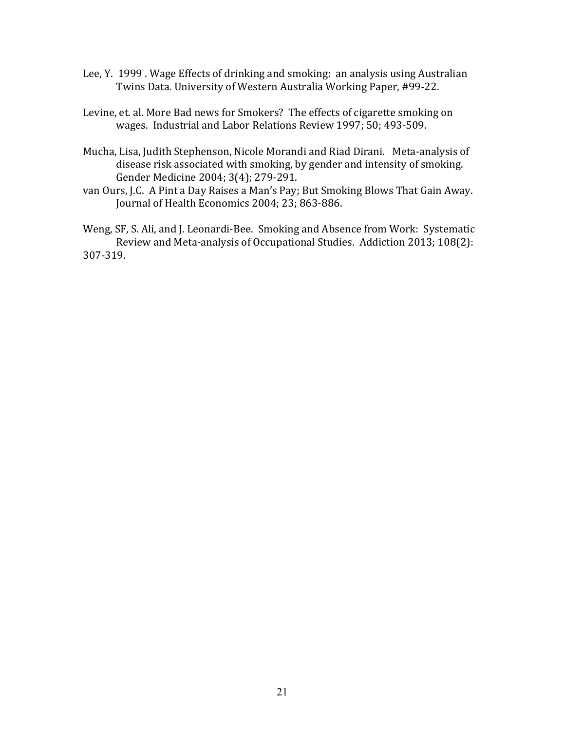- Lee, Y. 1999. Wage Effects of drinking and smoking: an analysis using Australian Twins Data. University of Western Australia Working Paper, #99-22.
- Levine, et. al. More Bad news for Smokers? The effects of cigarette smoking on wages. Industrial and Labor Relations Review 1997; 50; 493-509.
- Mucha, Lisa, Judith Stephenson, Nicole Morandi and Riad Dirani. Meta-analysis of disease risk associated with smoking, by gender and intensity of smoking. Gender Medicine 2004; 3(4); 279-291.
- van Ours, J.C. A Pint a Day Raises a Man's Pay; But Smoking Blows That Gain Away. Journal of Health Economics 2004; 23; 863-886.
- Weng, SF, S. Ali, and J. Leonardi-Bee. Smoking and Absence from Work: Systematic Review and Meta-analysis of Occupational Studies. Addiction 2013; 108(2): 307-319.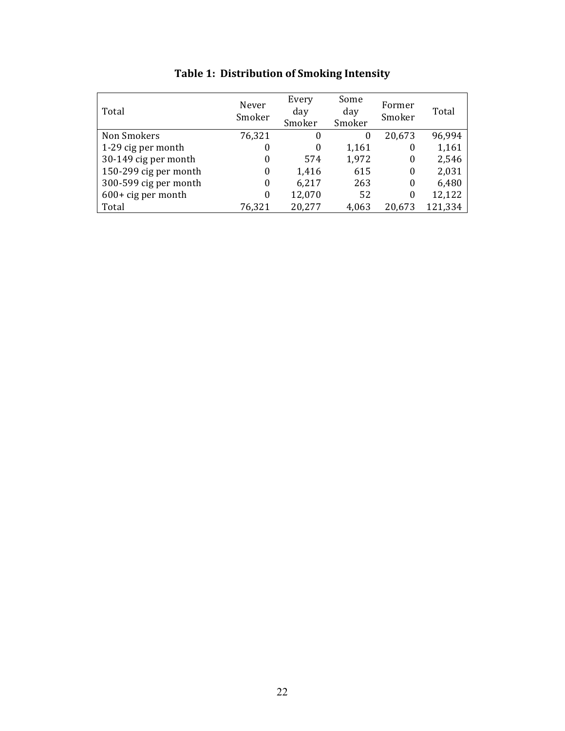| Total                 | Never<br>Smoker | Every<br>day<br>Smoker | Some<br>day<br>Smoker | Former<br>Smoker | Total   |
|-----------------------|-----------------|------------------------|-----------------------|------------------|---------|
| Non Smokers           | 76,321          | 0                      | 0                     | 20,673           | 96,994  |
| 1-29 cig per month    | 0               | 0                      | 1,161                 | $\bf{0}$         | 1,161   |
| 30-149 cig per month  | 0               | 574                    | 1,972                 | 0                | 2,546   |
| 150-299 cig per month | $\theta$        | 1,416                  | 615                   | 0                | 2,031   |
| 300-599 cig per month | 0               | 6,217                  | 263                   | 0                | 6,480   |
| $600+$ cig per month  | 0               | 12,070                 | 52                    | 0                | 12,122  |
| Total                 | 76,321          | 20,277                 | 4,063                 | 20,673           | 121,334 |

**Table 1: Distribution of Smoking Intensity**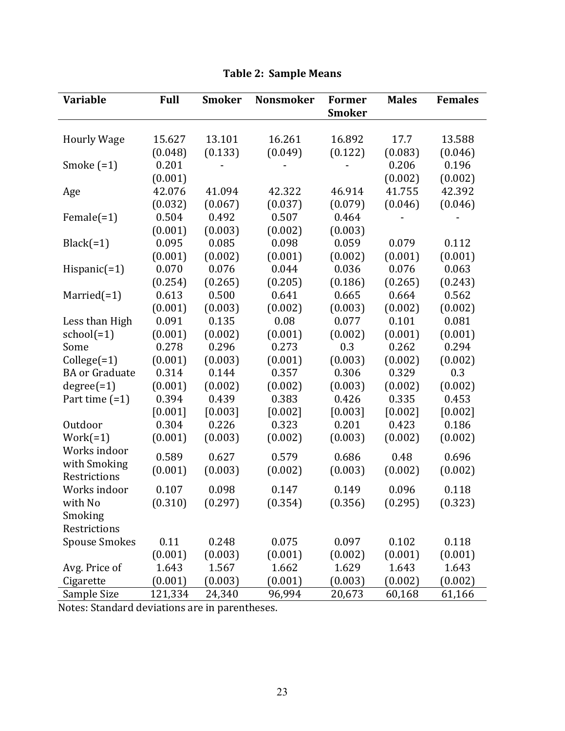| <b>Variable</b>       | <b>Full</b> | <b>Smoker</b> | <b>Nonsmoker</b> | <b>Former</b><br><b>Smoker</b> | <b>Males</b> | <b>Females</b> |
|-----------------------|-------------|---------------|------------------|--------------------------------|--------------|----------------|
|                       |             |               |                  |                                |              |                |
| <b>Hourly Wage</b>    | 15.627      | 13.101        | 16.261           | 16.892                         | 17.7         | 13.588         |
|                       | (0.048)     | (0.133)       | (0.049)          | (0.122)                        | (0.083)      | (0.046)        |
| Smoke $(=1)$          | 0.201       |               |                  |                                | 0.206        | 0.196          |
|                       | (0.001)     |               |                  |                                | (0.002)      | (0.002)        |
| Age                   | 42.076      | 41.094        | 42.322           | 46.914                         | 41.755       | 42.392         |
|                       | (0.032)     | (0.067)       | (0.037)          | (0.079)                        | (0.046)      | (0.046)        |
| Female $(=1)$         | 0.504       | 0.492         | 0.507            | 0.464                          |              |                |
|                       | (0.001)     | (0.003)       | (0.002)          | (0.003)                        |              |                |
| $Black(=1)$           | 0.095       | 0.085         | 0.098            | 0.059                          | 0.079        | 0.112          |
|                       | (0.001)     | (0.002)       | (0.001)          | (0.002)                        | (0.001)      | (0.001)        |
| $Hispanic (=1)$       | 0.070       | 0.076         | 0.044            | 0.036                          | 0.076        | 0.063          |
|                       | (0.254)     | (0.265)       | (0.205)          | (0.186)                        | (0.265)      | (0.243)        |
| Married $(=1)$        | 0.613       | 0.500         | 0.641            | 0.665                          | 0.664        | 0.562          |
|                       | (0.001)     | (0.003)       | (0.002)          | (0.003)                        | (0.002)      | (0.002)        |
| Less than High        | 0.091       | 0.135         | 0.08             | 0.077                          | 0.101        | 0.081          |
| $school(=1)$          | (0.001)     | (0.002)       | (0.001)          | (0.002)                        | (0.001)      | (0.001)        |
| Some                  | 0.278       | 0.296         | 0.273            | 0.3                            | 0.262        | 0.294          |
| $Collect(=1)$         | (0.001)     | (0.003)       | (0.001)          | (0.003)                        | (0.002)      | (0.002)        |
| <b>BA</b> or Graduate | 0.314       | 0.144         | 0.357            | 0.306                          | 0.329        | 0.3            |
| $degree(=1)$          | (0.001)     | (0.002)       | (0.002)          | (0.003)                        | (0.002)      | (0.002)        |
| Part time $(=1)$      | 0.394       | 0.439         | 0.383            | 0.426                          | 0.335        | 0.453          |
|                       | [0.001]     | [0.003]       | [0.002]          | [0.003]                        | [0.002]      | [0.002]        |
| Outdoor               | 0.304       | 0.226         | 0.323            | 0.201                          | 0.423        | 0.186          |
| $Work(=1)$            | (0.001)     | (0.003)       | (0.002)          | (0.003)                        | (0.002)      | (0.002)        |
| Works indoor          | 0.589       | 0.627         | 0.579            | 0.686                          | 0.48         | 0.696          |
| with Smoking          | (0.001)     | (0.003)       | (0.002)          | (0.003)                        | (0.002)      | (0.002)        |
| Restrictions          |             |               |                  |                                |              |                |
| Works indoor          | 0.107       | 0.098         | 0.147            | 0.149                          | 0.096        | 0.118          |
| with No               | (0.310)     | (0.297)       | (0.354)          | (0.356)                        | (0.295)      | (0.323)        |
| Smoking               |             |               |                  |                                |              |                |
| Restrictions          |             |               |                  |                                |              |                |
| <b>Spouse Smokes</b>  | 0.11        | 0.248         | 0.075            | 0.097                          | 0.102        | 0.118          |
|                       | (0.001)     | (0.003)       | (0.001)          | (0.002)                        | (0.001)      | (0.001)        |
| Avg. Price of         | 1.643       | 1.567         | 1.662            | 1.629                          | 1.643        | 1.643          |
| Cigarette             | (0.001)     | (0.003)       | (0.001)          | (0.003)                        | (0.002)      | (0.002)        |
| Sample Size           | 121,334     | 24,340        | 96,994           | 20,673                         | 60,168       | 61,166         |

# **Table 2: Sample Means**

Notes: Standard deviations are in parentheses.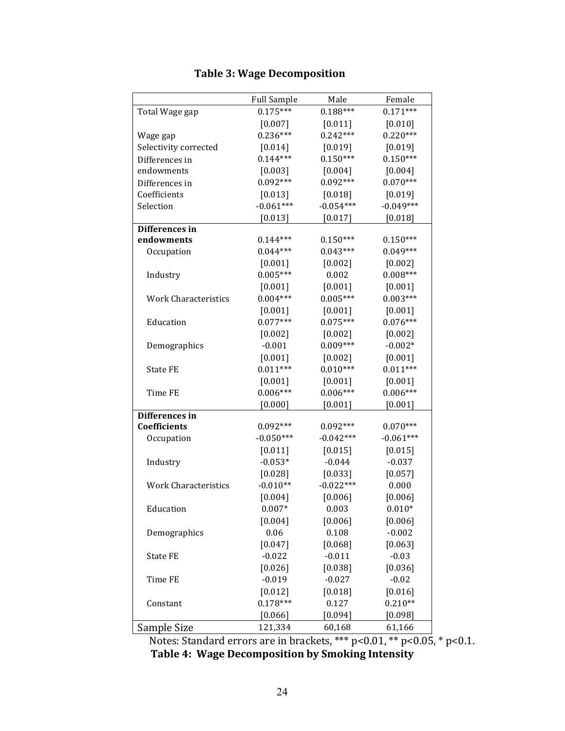|                       | <b>Full Sample</b> | Male        | Female      |
|-----------------------|--------------------|-------------|-------------|
| Total Wage gap        | $0.175***$         | $0.188***$  | $0.171***$  |
|                       | $[0.007]$          | [0.011]     | [0.010]     |
| Wage gap              | $0.236***$         | $0.242***$  | $0.220***$  |
| Selectivity corrected | [0.014]            | [0.019]     | [0.019]     |
| Differences in        | $0.144***$         | $0.150***$  | $0.150***$  |
| endowments            | [0.003]            | [0.004]     | [0.004]     |
| Differences in        | $0.092***$         | $0.092***$  | $0.070***$  |
| Coefficients          | [0.013]            | [0.018]     | [0.019]     |
| Selection             | $-0.061***$        | $-0.054***$ | $-0.049***$ |
|                       | [0.013]            | [0.017]     | $[0.018]$   |
| Differences in        |                    |             |             |
| endowments            | $0.144***$         | $0.150***$  | $0.150***$  |
| Occupation            | $0.044***$         | $0.043***$  | $0.049***$  |
|                       | [0.001]            | [0.002]     | [0.002]     |
| Industry              | $0.005***$         | 0.002       | $0.008***$  |
|                       | [0.001]            | $[0.001]$   | [0.001]     |
| Work Characteristics  | $0.004***$         | $0.005***$  | $0.003***$  |
|                       | [0.001]            | [0.001]     | [0.001]     |
| Education             | $0.077***$         | $0.075***$  | $0.076***$  |
|                       | $[0.002]$          | [0.002]     | [0.002]     |
| Demographics          | $-0.001$           | $0.009***$  | $-0.002*$   |
|                       | [0.001]            | $[0.002]$   | [0.001]     |
| <b>State FE</b>       | $0.011***$         | $0.010***$  | $0.011***$  |
|                       | $[0.001]$          | [0.001]     | [0.001]     |
| Time FE               | $0.006***$         | $0.006***$  | $0.006***$  |
|                       | $[0.000]$          | $[0.001]$   | $[0.001]$   |
| Differences in        |                    |             |             |
| Coefficients          | $0.092***$         | $0.092***$  | $0.070***$  |
| Occupation            | $-0.050***$        | $-0.042***$ | $-0.061***$ |
|                       | [0.011]            | [0.015]     | [0.015]     |
| Industry              | $-0.053*$          | $-0.044$    | $-0.037$    |
|                       | [0.028]            | [0.033]     | [0.057]     |
| Work Characteristics  | $-0.010**$         | $-0.022***$ | 0.000       |
|                       | [0.004]            | [0.006]     | [0.006]     |
| Education             | $0.007*$           | 0.003       | $0.010*$    |
|                       | [0.004]            | [0.006]     | [0.006]     |
| Demographics          | 0.06               | 0.108       | $-0.002$    |
|                       | $[0.047]$          | $[0.068]$   | $[0.063]$   |
| <b>State FE</b>       | $-0.022$           | $-0.011$    | $-0.03$     |
|                       | [0.026]            | [0.038]     | [0.036]     |
| Time FE               | $-0.019$           | $-0.027$    | $-0.02$     |
|                       | [0.012]            | [0.018]     | $[0.016]$   |
| Constant              | $0.178***$         | 0.127       | $0.210**$   |
|                       | [0.066]            | [0.094]     | [0.098]     |
| Sample Size           | 121,334            | 60,168      | 61,166      |

# **Table 3: Wage Decomposition**

Notes: Standard errors are in brackets,  $***$  p<0.01,  $**$  p<0.05,  $*$  p<0.1. **Table 4: Wage Decomposition by Smoking Intensity**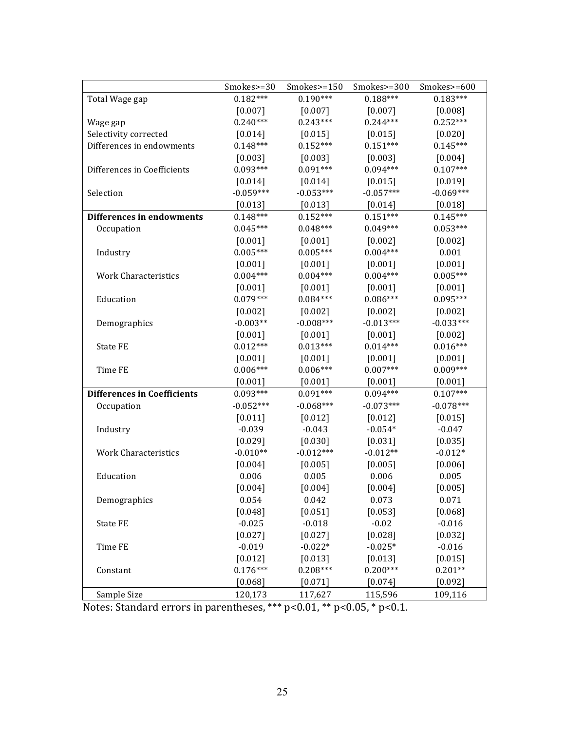|                                    | Smokes>=30  | Smokes $>=150$ | Smokes>=300 | Smokes>=600 |
|------------------------------------|-------------|----------------|-------------|-------------|
| Total Wage gap                     | $0.182***$  | $0.190***$     | $0.188***$  | $0.183***$  |
|                                    | [0.007]     | $[0.007]$      | $[0.007]$   | [0.008]     |
| Wage gap                           | $0.240***$  | $0.243***$     | $0.244***$  | $0.252***$  |
| Selectivity corrected              | $[0.014]$   | $[0.015]$      | [0.015]     | $[0.020]$   |
| Differences in endowments          | $0.148***$  | $0.152***$     | $0.151***$  | $0.145***$  |
|                                    | $[0.003]$   | [0.003]        | [0.003]     | $[0.004]$   |
| Differences in Coefficients        | $0.093***$  | $0.091***$     | $0.094***$  | $0.107***$  |
|                                    | $[0.014]$   | $[0.014]$      | [0.015]     | [0.019]     |
| Selection                          | $-0.059***$ | $-0.053***$    | $-0.057***$ | $-0.069***$ |
|                                    | $[0.013]$   | $[0.013]$      | $[0.014]$   | [0.018]     |
| Differences in endowments          | $0.148***$  | $0.152***$     | $0.151***$  | $0.145***$  |
| Occupation                         | $0.045***$  | $0.048***$     | $0.049***$  | $0.053***$  |
|                                    | $[0.001]$   | $[0.001]$      | $[0.002]$   | [0.002]     |
| Industry                           | $0.005***$  | $0.005***$     | $0.004***$  | 0.001       |
|                                    | [0.001]     | $[0.001]$      | $[0.001]$   | [0.001]     |
| <b>Work Characteristics</b>        | $0.004***$  | $0.004***$     | $0.004***$  | $0.005***$  |
|                                    | [0.001]     | [0.001]        | [0.001]     | [0.001]     |
| Education                          | $0.079***$  | $0.084***$     | $0.086***$  | $0.095***$  |
|                                    | $[0.002]$   | $[0.002]$      | $[0.002]$   | [0.002]     |
| Demographics                       | $-0.003**$  | $-0.008***$    | $-0.013***$ | $-0.033***$ |
|                                    | [0.001]     | $[0.001]$      | [0.001]     | [0.002]     |
| <b>State FE</b>                    | $0.012***$  | $0.013***$     | $0.014***$  | $0.016***$  |
|                                    | $[0.001]$   | [0.001]        | [0.001]     | [0.001]     |
| Time FE                            | $0.006***$  | $0.006***$     | $0.007***$  | $0.009***$  |
|                                    | $[0.001]$   | $[0.001]$      | $[0.001]$   | $[0.001]$   |
| <b>Differences in Coefficients</b> | $0.093***$  | $0.091***$     | $0.094***$  | $0.107***$  |
| Occupation                         | $-0.052***$ | $-0.068***$    | $-0.073***$ | $-0.078***$ |
|                                    | [0.011]     | $[0.012]$      | [0.012]     | [0.015]     |
| Industry                           | $-0.039$    | $-0.043$       | $-0.054*$   | $-0.047$    |
|                                    | [0.029]     | $[0.030]$      | [0.031]     | [0.035]     |
| <b>Work Characteristics</b>        | $-0.010**$  | $-0.012***$    | $-0.012**$  | $-0.012*$   |
|                                    | [0.004]     | [0.005]        | [0.005]     | [0.006]     |
| Education                          | 0.006       | 0.005          | 0.006       | 0.005       |
|                                    | [0.004]     | [0.004]        | [0.004]     | [0.005]     |
| Demographics                       | 0.054       | 0.042          | 0.073       | 0.071       |
|                                    | [0.048]     | [0.051]        | [0.053]     | [0.068]     |
| State FE                           | $-0.025$    | $-0.018$       | $-0.02$     | $-0.016$    |
|                                    | [0.027]     | [0.027]        | [0.028]     | [0.032]     |
| Time FE                            | $-0.019$    | $-0.022*$      | $-0.025*$   | $-0.016$    |
|                                    | [0.012]     | [0.013]        | [0.013]     | [0.015]     |
| Constant                           | $0.176***$  | $0.208***$     | $0.200***$  | $0.201**$   |
|                                    | [0.068]     | [0.071]        | $[0.074]$   | [0.092]     |
| Sample Size                        | 120,173     | 117,627        | 115,596     | 109,116     |

Notes: Standard errors in parentheses,  $***$  p<0.01,  $**$  p<0.05,  $*$  p<0.1.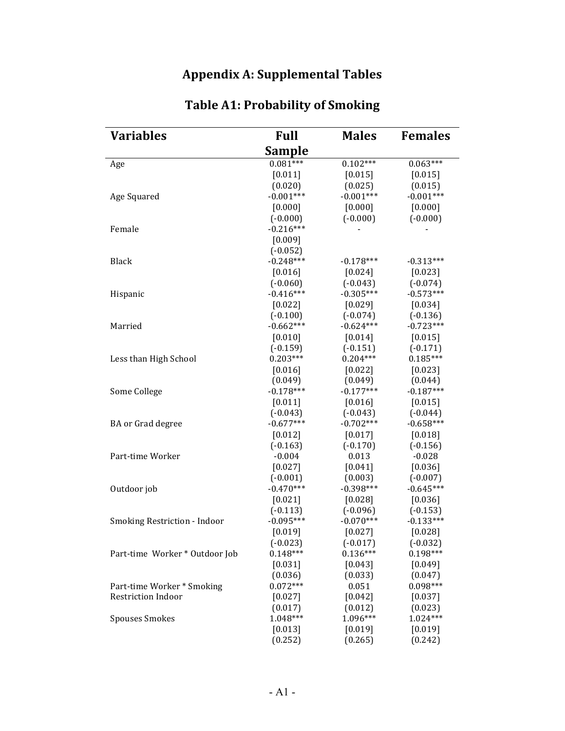# **Appendix A: Supplemental Tables**

| Sample<br>$0.081***$<br>$0.102***$<br>$0.063***$<br>Age<br>[0.011]<br>[0.015]<br>[0.015]<br>(0.020)<br>(0.025)<br>(0.015)<br>$-0.001***$<br>$-0.001***$<br>$-0.001***$<br>Age Squared<br>[0.000]<br>[0.000]<br>[0.000]<br>$(-0.000)$<br>$(-0.000)$<br>$(-0.000)$<br>$-0.216***$<br>Female<br>[0.009]<br>$(-0.052)$<br>$-0.248***$<br>Black<br>$-0.178***$<br>$-0.313***$<br>[0.016]<br>[0.024]<br>[0.023]<br>$(-0.043)$<br>$(-0.060)$<br>$(-0.074)$<br>$-0.416***$<br>$-0.305***$<br>$-0.573***$<br>Hispanic<br>[0.022]<br>[0.029]<br>[0.034]<br>$(-0.100)$<br>$(-0.074)$<br>$(-0.136)$<br>$-0.662***$<br>$-0.624***$<br>$-0.723***$<br>Married<br>[0.010]<br>[0.014]<br>[0.015]<br>$(-0.159)$<br>$(-0.151)$<br>$(-0.171)$<br>$0.203***$<br>$0.204***$<br>$0.185***$<br>Less than High School<br>[0.016]<br>[0.022]<br>[0.023]<br>(0.049)<br>(0.049)<br>(0.044)<br>$-0.178***$<br>$-0.177***$<br>$-0.187***$<br>Some College<br>[0.011]<br>[0.016]<br>[0.015]<br>$(-0.043)$<br>$(-0.043)$<br>$(-0.044)$<br>$-0.677***$<br>$-0.702***$<br>$-0.658***$<br>BA or Grad degree<br>[0.012]<br>[0.017]<br>[0.018]<br>$(-0.163)$<br>$(-0.170)$<br>$(-0.156)$<br>Part-time Worker<br>$-0.004$<br>0.013<br>$-0.028$<br>[0.027]<br>[0.041]<br>[0.036]<br>$(-0.001)$<br>(0.003)<br>$(-0.007)$<br>$-0.470***$<br>$-0.398***$<br>$-0.645***$<br>Outdoor job<br>[0.021]<br>[0.028]<br>[0.036]<br>$(-0.096)$<br>$(-0.153)$<br>$(-0.113)$<br>$-0.095***$<br>$-0.070***$<br>$-0.133***$<br><b>Smoking Restriction - Indoor</b><br>[0.019]<br>[0.027]<br>[0.028]<br>$(-0.023)$<br>$(-0.017)$<br>$(-0.032)$<br>$0.148***$<br>$0.136***$<br>$0.198***$<br>Part-time Worker * Outdoor Job<br>[0.031]<br>[0.049]<br>[0.043]<br>(0.036)<br>(0.033)<br>(0.047)<br>$0.072***$<br>$0.098***$<br>Part-time Worker * Smoking<br>0.051<br>Restriction Indoor<br>[0.027]<br>[0.042]<br>[0.037]<br>(0.017)<br>(0.012)<br>(0.023)<br>$1.024***$<br><b>Spouses Smokes</b><br>1.048***<br>1.096***<br>[0.013]<br>[0.019]<br>[0.019] | <b>Variables</b> | <b>Full</b> | <b>Males</b> | <b>Females</b> |
|--------------------------------------------------------------------------------------------------------------------------------------------------------------------------------------------------------------------------------------------------------------------------------------------------------------------------------------------------------------------------------------------------------------------------------------------------------------------------------------------------------------------------------------------------------------------------------------------------------------------------------------------------------------------------------------------------------------------------------------------------------------------------------------------------------------------------------------------------------------------------------------------------------------------------------------------------------------------------------------------------------------------------------------------------------------------------------------------------------------------------------------------------------------------------------------------------------------------------------------------------------------------------------------------------------------------------------------------------------------------------------------------------------------------------------------------------------------------------------------------------------------------------------------------------------------------------------------------------------------------------------------------------------------------------------------------------------------------------------------------------------------------------------------------------------------------------------------------------------------------------------------------------------------------------------------------------------------------------------------------------|------------------|-------------|--------------|----------------|
|                                                                                                                                                                                                                                                                                                                                                                                                                                                                                                                                                                                                                                                                                                                                                                                                                                                                                                                                                                                                                                                                                                                                                                                                                                                                                                                                                                                                                                                                                                                                                                                                                                                                                                                                                                                                                                                                                                                                                                                                  |                  |             |              |                |
|                                                                                                                                                                                                                                                                                                                                                                                                                                                                                                                                                                                                                                                                                                                                                                                                                                                                                                                                                                                                                                                                                                                                                                                                                                                                                                                                                                                                                                                                                                                                                                                                                                                                                                                                                                                                                                                                                                                                                                                                  |                  |             |              |                |
|                                                                                                                                                                                                                                                                                                                                                                                                                                                                                                                                                                                                                                                                                                                                                                                                                                                                                                                                                                                                                                                                                                                                                                                                                                                                                                                                                                                                                                                                                                                                                                                                                                                                                                                                                                                                                                                                                                                                                                                                  |                  |             |              |                |
|                                                                                                                                                                                                                                                                                                                                                                                                                                                                                                                                                                                                                                                                                                                                                                                                                                                                                                                                                                                                                                                                                                                                                                                                                                                                                                                                                                                                                                                                                                                                                                                                                                                                                                                                                                                                                                                                                                                                                                                                  |                  |             |              |                |
|                                                                                                                                                                                                                                                                                                                                                                                                                                                                                                                                                                                                                                                                                                                                                                                                                                                                                                                                                                                                                                                                                                                                                                                                                                                                                                                                                                                                                                                                                                                                                                                                                                                                                                                                                                                                                                                                                                                                                                                                  |                  |             |              |                |
|                                                                                                                                                                                                                                                                                                                                                                                                                                                                                                                                                                                                                                                                                                                                                                                                                                                                                                                                                                                                                                                                                                                                                                                                                                                                                                                                                                                                                                                                                                                                                                                                                                                                                                                                                                                                                                                                                                                                                                                                  |                  |             |              |                |
|                                                                                                                                                                                                                                                                                                                                                                                                                                                                                                                                                                                                                                                                                                                                                                                                                                                                                                                                                                                                                                                                                                                                                                                                                                                                                                                                                                                                                                                                                                                                                                                                                                                                                                                                                                                                                                                                                                                                                                                                  |                  |             |              |                |
|                                                                                                                                                                                                                                                                                                                                                                                                                                                                                                                                                                                                                                                                                                                                                                                                                                                                                                                                                                                                                                                                                                                                                                                                                                                                                                                                                                                                                                                                                                                                                                                                                                                                                                                                                                                                                                                                                                                                                                                                  |                  |             |              |                |
|                                                                                                                                                                                                                                                                                                                                                                                                                                                                                                                                                                                                                                                                                                                                                                                                                                                                                                                                                                                                                                                                                                                                                                                                                                                                                                                                                                                                                                                                                                                                                                                                                                                                                                                                                                                                                                                                                                                                                                                                  |                  |             |              |                |
|                                                                                                                                                                                                                                                                                                                                                                                                                                                                                                                                                                                                                                                                                                                                                                                                                                                                                                                                                                                                                                                                                                                                                                                                                                                                                                                                                                                                                                                                                                                                                                                                                                                                                                                                                                                                                                                                                                                                                                                                  |                  |             |              |                |
|                                                                                                                                                                                                                                                                                                                                                                                                                                                                                                                                                                                                                                                                                                                                                                                                                                                                                                                                                                                                                                                                                                                                                                                                                                                                                                                                                                                                                                                                                                                                                                                                                                                                                                                                                                                                                                                                                                                                                                                                  |                  |             |              |                |
|                                                                                                                                                                                                                                                                                                                                                                                                                                                                                                                                                                                                                                                                                                                                                                                                                                                                                                                                                                                                                                                                                                                                                                                                                                                                                                                                                                                                                                                                                                                                                                                                                                                                                                                                                                                                                                                                                                                                                                                                  |                  |             |              |                |
|                                                                                                                                                                                                                                                                                                                                                                                                                                                                                                                                                                                                                                                                                                                                                                                                                                                                                                                                                                                                                                                                                                                                                                                                                                                                                                                                                                                                                                                                                                                                                                                                                                                                                                                                                                                                                                                                                                                                                                                                  |                  |             |              |                |
|                                                                                                                                                                                                                                                                                                                                                                                                                                                                                                                                                                                                                                                                                                                                                                                                                                                                                                                                                                                                                                                                                                                                                                                                                                                                                                                                                                                                                                                                                                                                                                                                                                                                                                                                                                                                                                                                                                                                                                                                  |                  |             |              |                |
|                                                                                                                                                                                                                                                                                                                                                                                                                                                                                                                                                                                                                                                                                                                                                                                                                                                                                                                                                                                                                                                                                                                                                                                                                                                                                                                                                                                                                                                                                                                                                                                                                                                                                                                                                                                                                                                                                                                                                                                                  |                  |             |              |                |
|                                                                                                                                                                                                                                                                                                                                                                                                                                                                                                                                                                                                                                                                                                                                                                                                                                                                                                                                                                                                                                                                                                                                                                                                                                                                                                                                                                                                                                                                                                                                                                                                                                                                                                                                                                                                                                                                                                                                                                                                  |                  |             |              |                |
|                                                                                                                                                                                                                                                                                                                                                                                                                                                                                                                                                                                                                                                                                                                                                                                                                                                                                                                                                                                                                                                                                                                                                                                                                                                                                                                                                                                                                                                                                                                                                                                                                                                                                                                                                                                                                                                                                                                                                                                                  |                  |             |              |                |
|                                                                                                                                                                                                                                                                                                                                                                                                                                                                                                                                                                                                                                                                                                                                                                                                                                                                                                                                                                                                                                                                                                                                                                                                                                                                                                                                                                                                                                                                                                                                                                                                                                                                                                                                                                                                                                                                                                                                                                                                  |                  |             |              |                |
|                                                                                                                                                                                                                                                                                                                                                                                                                                                                                                                                                                                                                                                                                                                                                                                                                                                                                                                                                                                                                                                                                                                                                                                                                                                                                                                                                                                                                                                                                                                                                                                                                                                                                                                                                                                                                                                                                                                                                                                                  |                  |             |              |                |
|                                                                                                                                                                                                                                                                                                                                                                                                                                                                                                                                                                                                                                                                                                                                                                                                                                                                                                                                                                                                                                                                                                                                                                                                                                                                                                                                                                                                                                                                                                                                                                                                                                                                                                                                                                                                                                                                                                                                                                                                  |                  |             |              |                |
|                                                                                                                                                                                                                                                                                                                                                                                                                                                                                                                                                                                                                                                                                                                                                                                                                                                                                                                                                                                                                                                                                                                                                                                                                                                                                                                                                                                                                                                                                                                                                                                                                                                                                                                                                                                                                                                                                                                                                                                                  |                  |             |              |                |
|                                                                                                                                                                                                                                                                                                                                                                                                                                                                                                                                                                                                                                                                                                                                                                                                                                                                                                                                                                                                                                                                                                                                                                                                                                                                                                                                                                                                                                                                                                                                                                                                                                                                                                                                                                                                                                                                                                                                                                                                  |                  |             |              |                |
|                                                                                                                                                                                                                                                                                                                                                                                                                                                                                                                                                                                                                                                                                                                                                                                                                                                                                                                                                                                                                                                                                                                                                                                                                                                                                                                                                                                                                                                                                                                                                                                                                                                                                                                                                                                                                                                                                                                                                                                                  |                  |             |              |                |
|                                                                                                                                                                                                                                                                                                                                                                                                                                                                                                                                                                                                                                                                                                                                                                                                                                                                                                                                                                                                                                                                                                                                                                                                                                                                                                                                                                                                                                                                                                                                                                                                                                                                                                                                                                                                                                                                                                                                                                                                  |                  |             |              |                |
|                                                                                                                                                                                                                                                                                                                                                                                                                                                                                                                                                                                                                                                                                                                                                                                                                                                                                                                                                                                                                                                                                                                                                                                                                                                                                                                                                                                                                                                                                                                                                                                                                                                                                                                                                                                                                                                                                                                                                                                                  |                  |             |              |                |
|                                                                                                                                                                                                                                                                                                                                                                                                                                                                                                                                                                                                                                                                                                                                                                                                                                                                                                                                                                                                                                                                                                                                                                                                                                                                                                                                                                                                                                                                                                                                                                                                                                                                                                                                                                                                                                                                                                                                                                                                  |                  |             |              |                |
|                                                                                                                                                                                                                                                                                                                                                                                                                                                                                                                                                                                                                                                                                                                                                                                                                                                                                                                                                                                                                                                                                                                                                                                                                                                                                                                                                                                                                                                                                                                                                                                                                                                                                                                                                                                                                                                                                                                                                                                                  |                  |             |              |                |
|                                                                                                                                                                                                                                                                                                                                                                                                                                                                                                                                                                                                                                                                                                                                                                                                                                                                                                                                                                                                                                                                                                                                                                                                                                                                                                                                                                                                                                                                                                                                                                                                                                                                                                                                                                                                                                                                                                                                                                                                  |                  |             |              |                |
|                                                                                                                                                                                                                                                                                                                                                                                                                                                                                                                                                                                                                                                                                                                                                                                                                                                                                                                                                                                                                                                                                                                                                                                                                                                                                                                                                                                                                                                                                                                                                                                                                                                                                                                                                                                                                                                                                                                                                                                                  |                  |             |              |                |
|                                                                                                                                                                                                                                                                                                                                                                                                                                                                                                                                                                                                                                                                                                                                                                                                                                                                                                                                                                                                                                                                                                                                                                                                                                                                                                                                                                                                                                                                                                                                                                                                                                                                                                                                                                                                                                                                                                                                                                                                  |                  |             |              |                |
|                                                                                                                                                                                                                                                                                                                                                                                                                                                                                                                                                                                                                                                                                                                                                                                                                                                                                                                                                                                                                                                                                                                                                                                                                                                                                                                                                                                                                                                                                                                                                                                                                                                                                                                                                                                                                                                                                                                                                                                                  |                  |             |              |                |
|                                                                                                                                                                                                                                                                                                                                                                                                                                                                                                                                                                                                                                                                                                                                                                                                                                                                                                                                                                                                                                                                                                                                                                                                                                                                                                                                                                                                                                                                                                                                                                                                                                                                                                                                                                                                                                                                                                                                                                                                  |                  |             |              |                |
|                                                                                                                                                                                                                                                                                                                                                                                                                                                                                                                                                                                                                                                                                                                                                                                                                                                                                                                                                                                                                                                                                                                                                                                                                                                                                                                                                                                                                                                                                                                                                                                                                                                                                                                                                                                                                                                                                                                                                                                                  |                  |             |              |                |
|                                                                                                                                                                                                                                                                                                                                                                                                                                                                                                                                                                                                                                                                                                                                                                                                                                                                                                                                                                                                                                                                                                                                                                                                                                                                                                                                                                                                                                                                                                                                                                                                                                                                                                                                                                                                                                                                                                                                                                                                  |                  |             |              |                |
|                                                                                                                                                                                                                                                                                                                                                                                                                                                                                                                                                                                                                                                                                                                                                                                                                                                                                                                                                                                                                                                                                                                                                                                                                                                                                                                                                                                                                                                                                                                                                                                                                                                                                                                                                                                                                                                                                                                                                                                                  |                  |             |              |                |
|                                                                                                                                                                                                                                                                                                                                                                                                                                                                                                                                                                                                                                                                                                                                                                                                                                                                                                                                                                                                                                                                                                                                                                                                                                                                                                                                                                                                                                                                                                                                                                                                                                                                                                                                                                                                                                                                                                                                                                                                  |                  |             |              |                |
|                                                                                                                                                                                                                                                                                                                                                                                                                                                                                                                                                                                                                                                                                                                                                                                                                                                                                                                                                                                                                                                                                                                                                                                                                                                                                                                                                                                                                                                                                                                                                                                                                                                                                                                                                                                                                                                                                                                                                                                                  |                  |             |              |                |
|                                                                                                                                                                                                                                                                                                                                                                                                                                                                                                                                                                                                                                                                                                                                                                                                                                                                                                                                                                                                                                                                                                                                                                                                                                                                                                                                                                                                                                                                                                                                                                                                                                                                                                                                                                                                                                                                                                                                                                                                  |                  |             |              |                |
|                                                                                                                                                                                                                                                                                                                                                                                                                                                                                                                                                                                                                                                                                                                                                                                                                                                                                                                                                                                                                                                                                                                                                                                                                                                                                                                                                                                                                                                                                                                                                                                                                                                                                                                                                                                                                                                                                                                                                                                                  |                  |             |              |                |
|                                                                                                                                                                                                                                                                                                                                                                                                                                                                                                                                                                                                                                                                                                                                                                                                                                                                                                                                                                                                                                                                                                                                                                                                                                                                                                                                                                                                                                                                                                                                                                                                                                                                                                                                                                                                                                                                                                                                                                                                  |                  |             |              |                |
|                                                                                                                                                                                                                                                                                                                                                                                                                                                                                                                                                                                                                                                                                                                                                                                                                                                                                                                                                                                                                                                                                                                                                                                                                                                                                                                                                                                                                                                                                                                                                                                                                                                                                                                                                                                                                                                                                                                                                                                                  |                  |             |              |                |
|                                                                                                                                                                                                                                                                                                                                                                                                                                                                                                                                                                                                                                                                                                                                                                                                                                                                                                                                                                                                                                                                                                                                                                                                                                                                                                                                                                                                                                                                                                                                                                                                                                                                                                                                                                                                                                                                                                                                                                                                  |                  |             |              |                |
|                                                                                                                                                                                                                                                                                                                                                                                                                                                                                                                                                                                                                                                                                                                                                                                                                                                                                                                                                                                                                                                                                                                                                                                                                                                                                                                                                                                                                                                                                                                                                                                                                                                                                                                                                                                                                                                                                                                                                                                                  |                  |             |              |                |
|                                                                                                                                                                                                                                                                                                                                                                                                                                                                                                                                                                                                                                                                                                                                                                                                                                                                                                                                                                                                                                                                                                                                                                                                                                                                                                                                                                                                                                                                                                                                                                                                                                                                                                                                                                                                                                                                                                                                                                                                  |                  |             |              |                |
|                                                                                                                                                                                                                                                                                                                                                                                                                                                                                                                                                                                                                                                                                                                                                                                                                                                                                                                                                                                                                                                                                                                                                                                                                                                                                                                                                                                                                                                                                                                                                                                                                                                                                                                                                                                                                                                                                                                                                                                                  |                  |             |              |                |
|                                                                                                                                                                                                                                                                                                                                                                                                                                                                                                                                                                                                                                                                                                                                                                                                                                                                                                                                                                                                                                                                                                                                                                                                                                                                                                                                                                                                                                                                                                                                                                                                                                                                                                                                                                                                                                                                                                                                                                                                  |                  |             |              |                |
|                                                                                                                                                                                                                                                                                                                                                                                                                                                                                                                                                                                                                                                                                                                                                                                                                                                                                                                                                                                                                                                                                                                                                                                                                                                                                                                                                                                                                                                                                                                                                                                                                                                                                                                                                                                                                                                                                                                                                                                                  |                  |             |              |                |
|                                                                                                                                                                                                                                                                                                                                                                                                                                                                                                                                                                                                                                                                                                                                                                                                                                                                                                                                                                                                                                                                                                                                                                                                                                                                                                                                                                                                                                                                                                                                                                                                                                                                                                                                                                                                                                                                                                                                                                                                  |                  | (0.252)     | (0.265)      | (0.242)        |

# **Table A1: Probability of Smoking**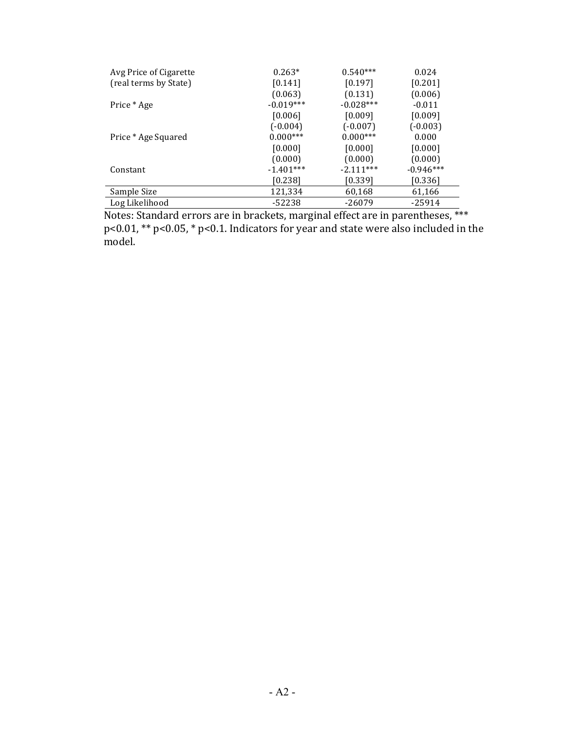| Avg Price of Cigarette | $0.263*$    | $0.540***$  | 0.024       |
|------------------------|-------------|-------------|-------------|
| (real terms by State)  | [0.141]     | [0.197]     | [0.201]     |
|                        | (0.063)     | (0.131)     | (0.006)     |
| Price * Age            | $-0.019***$ | $-0.028***$ | $-0.011$    |
|                        | [0.006]     | [0.009]     | [0.009]     |
|                        | (-0.004)    | $(-0.007)$  | $(-0.003)$  |
| Price * Age Squared    | $0.000***$  | $0.000***$  | 0.000       |
|                        | [0.000]     | [0.000]     | [0.000]     |
|                        | (0.000)     | (0.000)     | (0.000)     |
| Constant               | $-1.401***$ | $-2.111***$ | $-0.946***$ |
|                        | [0.238]     | [0.339]     | [0.336]     |
| Sample Size            | 121,334     | 60,168      | 61,166      |
| Log Likelihood         | $-52238$    | $-26079$    | $-25914$    |

Notes: Standard errors are in brackets, marginal effect are in parentheses, \*\*\*  $p<0.01$ , \*\*  $p<0.05$ , \*  $p<0.1$ . Indicators for year and state were also included in the model.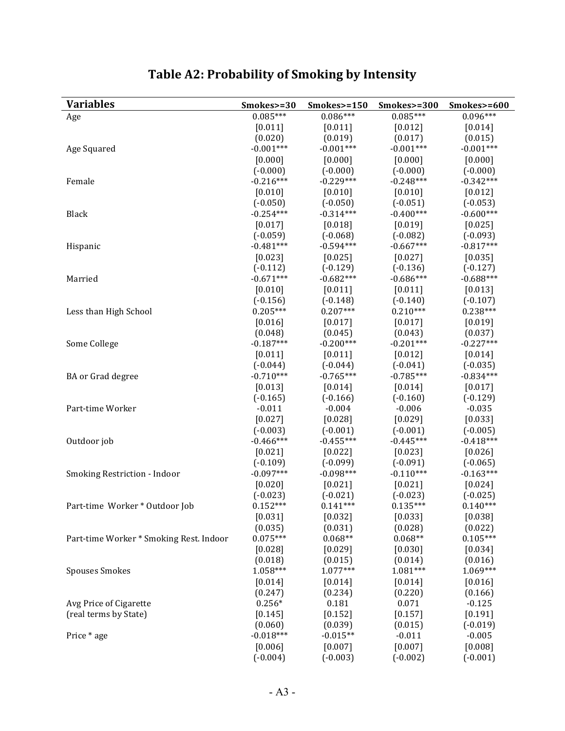| <b>Variables</b>                        | Smokes>=30  | $Smokes=150$ | Smokes>=300 | Smokes>=600 |
|-----------------------------------------|-------------|--------------|-------------|-------------|
| Age                                     | $0.085***$  | $0.086***$   | $0.085***$  | $0.096***$  |
|                                         | [0.011]     | $[0.011]$    | [0.012]     | [0.014]     |
|                                         | (0.020)     | (0.019)      | (0.017)     | (0.015)     |
| Age Squared                             | $-0.001***$ | $-0.001***$  | $-0.001***$ | $-0.001***$ |
|                                         | [0.000]     | [0.000]      | [0.000]     | [0.000]     |
|                                         | $(-0.000)$  | $(-0.000)$   | $(-0.000)$  | $(-0.000)$  |
| Female                                  | $-0.216***$ | $-0.229***$  | $-0.248***$ | $-0.342***$ |
|                                         | [0.010]     | [0.010]      | [0.010]     | [0.012]     |
|                                         | $(-0.050)$  | $(-0.050)$   | $(-0.051)$  | $(-0.053)$  |
| Black                                   | $-0.254***$ | $-0.314***$  | $-0.400***$ | $-0.600***$ |
|                                         | [0.017]     | [0.018]      | [0.019]     | [0.025]     |
|                                         | $(-0.059)$  | $(-0.068)$   | $(-0.082)$  | $(-0.093)$  |
| Hispanic                                | $-0.481***$ | $-0.594***$  | $-0.667***$ | $-0.817***$ |
|                                         | [0.023]     | [0.025]      | [0.027]     | [0.035]     |
|                                         | $(-0.112)$  | $(-0.129)$   | $(-0.136)$  | $(-0.127)$  |
| Married                                 | $-0.671***$ | $-0.682***$  | $-0.686***$ | $-0.688***$ |
|                                         | [0.010]     | [0.011]      | [0.011]     | [0.013]     |
|                                         | $(-0.156)$  | $(-0.148)$   | $(-0.140)$  | $(-0.107)$  |
| Less than High School                   | $0.205***$  | $0.207***$   | $0.210***$  | $0.238***$  |
|                                         | [0.016]     | [0.017]      | [0.017]     | [0.019]     |
|                                         | (0.048)     | (0.045)      | (0.043)     | (0.037)     |
| Some College                            | $-0.187***$ | $-0.200***$  | $-0.201***$ | $-0.227***$ |
|                                         | [0.011]     | [0.011]      | [0.012]     | [0.014]     |
|                                         | $(-0.044)$  | $(-0.044)$   | $(-0.041)$  | $(-0.035)$  |
| BA or Grad degree                       | $-0.710***$ | $-0.765***$  | $-0.785***$ | $-0.834***$ |
|                                         | [0.013]     | [0.014]      | [0.014]     | [0.017]     |
|                                         | $(-0.165)$  | $(-0.166)$   | $(-0.160)$  | $(-0.129)$  |
| Part-time Worker                        | $-0.011$    | $-0.004$     | $-0.006$    | $-0.035$    |
|                                         | [0.027]     | [0.028]      | [0.029]     | [0.033]     |
|                                         | $(-0.003)$  | $(-0.001)$   | $(-0.001)$  | $(-0.005)$  |
| Outdoor job                             | $-0.466***$ | $-0.455***$  | $-0.445***$ | $-0.418***$ |
|                                         | [0.021]     | [0.022]      | [0.023]     | [0.026]     |
|                                         | $(-0.109)$  | $(-0.099)$   | $(-0.091)$  | $(-0.065)$  |
| <b>Smoking Restriction - Indoor</b>     | $-0.097***$ | $-0.098***$  | $-0.110***$ | $-0.163***$ |
|                                         | [0.020]     | [0.021]      | [0.021]     | [0.024]     |
|                                         | $(-0.023)$  | $(-0.021)$   | $(-0.023)$  | $(-0.025)$  |
| Part-time Worker * Outdoor Job          | $0.152***$  | $0.141***$   | $0.135***$  | $0.140***$  |
|                                         | [0.031]     | [0.032]      | [0.033]     | [0.038]     |
|                                         | (0.035)     | (0.031)      | (0.028)     | (0.022)     |
| Part-time Worker * Smoking Rest. Indoor | $0.075***$  | $0.068**$    | $0.068**$   | $0.105***$  |
|                                         | [0.028]     | [0.029]      | [0.030]     | [0.034]     |
|                                         | (0.018)     | (0.015)      | (0.014)     | (0.016)     |
| <b>Spouses Smokes</b>                   | $1.058***$  | $1.077***$   | $1.081***$  | $1.069***$  |
|                                         | [0.014]     | [0.014]      | [0.014]     | [0.016]     |
|                                         | (0.247)     | (0.234)      | (0.220)     | (0.166)     |
| Avg Price of Cigarette                  | $0.256*$    | 0.181        | 0.071       | $-0.125$    |
| (real terms by State)                   | [0.145]     | [0.152]      | [0.157]     | [0.191]     |
|                                         | (0.060)     | (0.039)      | (0.015)     | $(-0.019)$  |
| Price * age                             | $-0.018***$ | $-0.015**$   | $-0.011$    | $-0.005$    |
|                                         | [0.006]     | [0.007]      | [0.007]     | [0.008]     |
|                                         | $(-0.004)$  | $(-0.003)$   | $(-0.002)$  | $(-0.001)$  |

# Table A2: Probability of Smoking by Intensity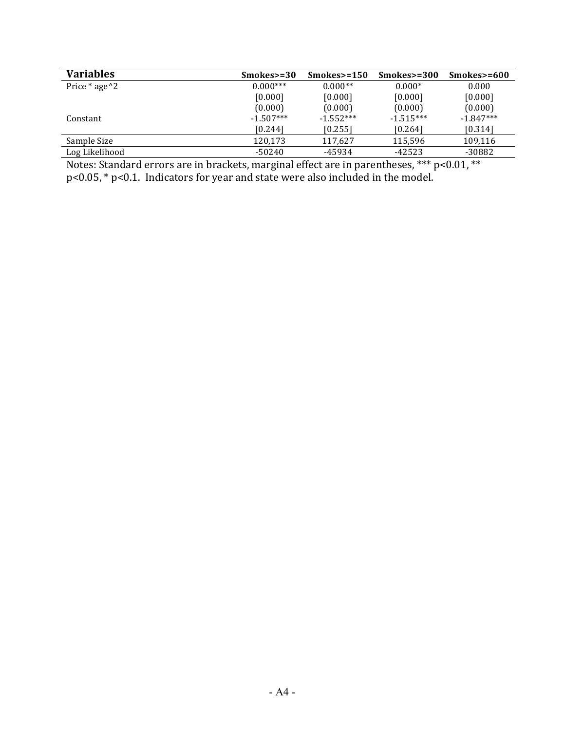| Variables          | $Smokes=30$ | $Smokes=150$ | $Smokes = 300$ | $Smokes=600$ |
|--------------------|-------------|--------------|----------------|--------------|
| Price $*$ age $^2$ | $0.000***$  | $0.000**$    | $0.000*$       | 0.000        |
|                    | [0.000]     | [0.000]      | [0.000]        | [0.000]      |
|                    | (0.000)     | (0.000)      | (0.000)        | (0.000)      |
| Constant           | $-1.507***$ | $-1.552***$  | $-1.515***$    | $-1.847***$  |
|                    | [0.244]     | [0.255]      | [0.264]        | [0.314]      |
| Sample Size        | 120,173     | 117,627      | 115,596        | 109,116      |
| Log Likelihood     | -50240      | -45934       | $-42523$       | $-30882$     |

Notes: Standard errors are in brackets, marginal effect are in parentheses, \*\*\*  $p<0.01$ , \*\*  $p<0.05$ ,  $*$   $p<0.1$ . Indicators for year and state were also included in the model.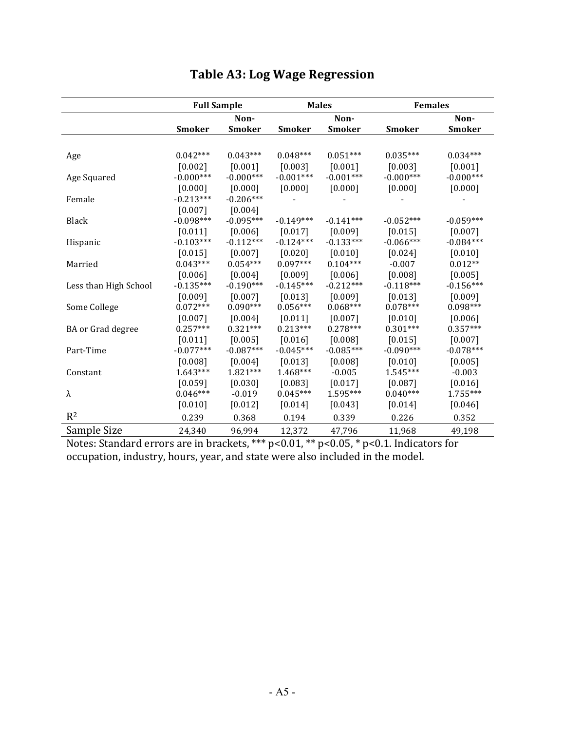|                       | <b>Full Sample</b> |               |               | <b>Males</b>  |               | <b>Females</b> |  |
|-----------------------|--------------------|---------------|---------------|---------------|---------------|----------------|--|
|                       |                    | Non-          |               | Non-          |               | Non-           |  |
|                       | <b>Smoker</b>      | <b>Smoker</b> | <b>Smoker</b> | <b>Smoker</b> | <b>Smoker</b> | <b>Smoker</b>  |  |
|                       |                    |               |               |               |               |                |  |
| Age                   | $0.042***$         | $0.043***$    | $0.048***$    | $0.051***$    | $0.035***$    | $0.034***$     |  |
|                       | $[0.002]$          | [0.001]       | [0.003]       | [0.001]       | [0.003]       | [0.001]        |  |
| Age Squared           | $-0.000***$        | $-0.000***$   | $-0.001***$   | $-0.001***$   | $-0.000***$   | $-0.000***$    |  |
|                       | [0.000]            | [0.000]       | [0.000]       | [0.000]       | [0.000]       | [0.000]        |  |
| Female                | $-0.213***$        | $-0.206***$   |               |               |               |                |  |
|                       | [0.007]            | [0.004]       |               |               |               |                |  |
| Black                 | $-0.098***$        | $-0.095***$   | $-0.149***$   | $-0.141***$   | $-0.052***$   | $-0.059***$    |  |
|                       | [0.011]            | [0.006]       | [0.017]       | [0.009]       | [0.015]       | [0.007]        |  |
| Hispanic              | $-0.103***$        | $-0.112***$   | $-0.124***$   | $-0.133***$   | $-0.066***$   | $-0.084***$    |  |
|                       | [0.015]            | [0.007]       | $[0.020]$     | [0.010]       | [0.024]       | [0.010]        |  |
| Married               | $0.043***$         | $0.054***$    | $0.097***$    | $0.104***$    | $-0.007$      | $0.012**$      |  |
|                       | [0.006]            | [0.004]       | [0.009]       | [0.006]       | [0.008]       | [0.005]        |  |
| Less than High School | $-0.135***$        | $-0.190***$   | $-0.145***$   | $-0.212***$   | $-0.118***$   | $-0.156***$    |  |
|                       | [0.009]            | [0.007]       | [0.013]       | [0.009]       | [0.013]       | [0.009]        |  |
| Some College          | $0.072***$         | $0.090***$    | $0.056***$    | $0.068***$    | $0.078***$    | $0.098***$     |  |
|                       | [0.007]            | [0.004]       | [0.011]       | [0.007]       | [0.010]       | [0.006]        |  |
| BA or Grad degree     | $0.257***$         | $0.321***$    | $0.213***$    | $0.278***$    | $0.301***$    | $0.357***$     |  |
|                       | [0.011]            | [0.005]       | [0.016]       | [0.008]       | [0.015]       | [0.007]        |  |
| Part-Time             | $-0.077***$        | $-0.087***$   | $-0.045***$   | $-0.085***$   | $-0.090***$   | $-0.078***$    |  |
|                       | [0.008]            | [0.004]       | $[0.013]$     | [0.008]       | $[0.010]$     | [0.005]        |  |
| Constant              | $1.643***$         | $1.821***$    | 1.468***      | $-0.005$      | $1.545***$    | $-0.003$       |  |
|                       | $[0.059]$          | [0.030]       | [0.083]       | [0.017]       | [0.087]       | [0.016]        |  |
| λ                     | $0.046***$         | $-0.019$      | $0.045***$    | $1.595***$    | $0.040***$    | $1.755***$     |  |
|                       | [0.010]            | [0.012]       | [0.014]       | [0.043]       | [0.014]       | [0.046]        |  |
| $R^2$                 | 0.239              | 0.368         | 0.194         | 0.339         | 0.226         | 0.352          |  |
| Sample Size           | 24,340             | 96,994        | 12,372        | 47,796        | 11,968        | 49,198         |  |

# **Table A3: Log Wage Regression**

Notes: Standard errors are in brackets, \*\*\*  $p<0.01$ , \*\*  $p<0.05$ , \*  $p<0.1$ . Indicators for occupation, industry, hours, year, and state were also included in the model.